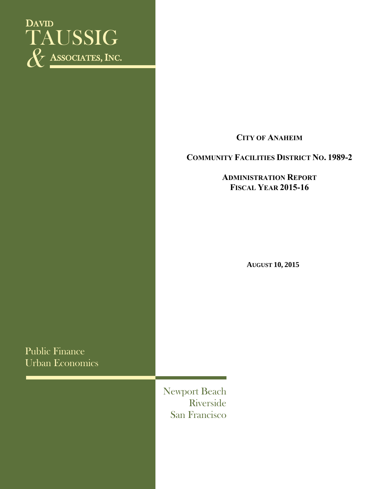

**CITY OF ANAHEIM**

### **COMMUNITY FACILITIES DISTRICT NO. 1989-2**

**ADMINISTRATION REPORT FISCAL YEAR 2015-16**

**AUGUST 10, 2015**

Public Finance Urban Economics

> Newport Beach Riverside San Francisco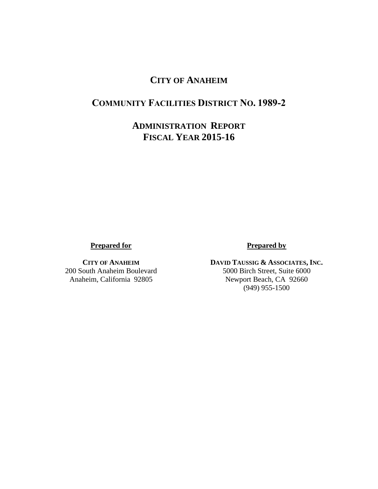## **CITY OF ANAHEIM**

## **COMMUNITY FACILITIES DISTRICT NO. 1989-2**

## **ADMINISTRATION REPORT FISCAL YEAR 2015-16**

**Prepared for**

**CITY OF ANAHEIM** 200 South Anaheim Boulevard Anaheim, California 92805

### **Prepared by**

**DAVID TAUSSIG & ASSOCIATES, INC.** 5000 Birch Street, Suite 6000 Newport Beach, CA 92660 (949) 955-1500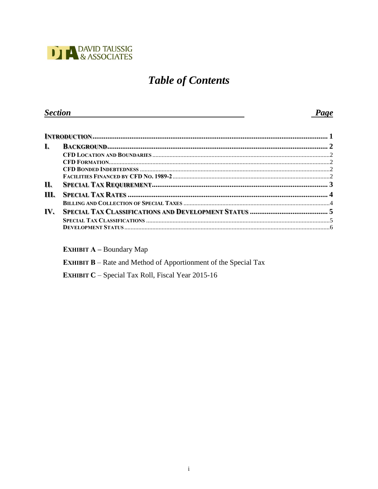

# **Table of Contents**

#### **Section** Page

| I.   |  |  |  |
|------|--|--|--|
|      |  |  |  |
|      |  |  |  |
|      |  |  |  |
|      |  |  |  |
| П.   |  |  |  |
| III. |  |  |  |
|      |  |  |  |
| IV.  |  |  |  |
|      |  |  |  |
|      |  |  |  |

**EXHIBIT A - Boundary Map** 

**EXHIBIT B** – Rate and Method of Apportionment of the Special Tax

EXHIBIT C - Special Tax Roll, Fiscal Year 2015-16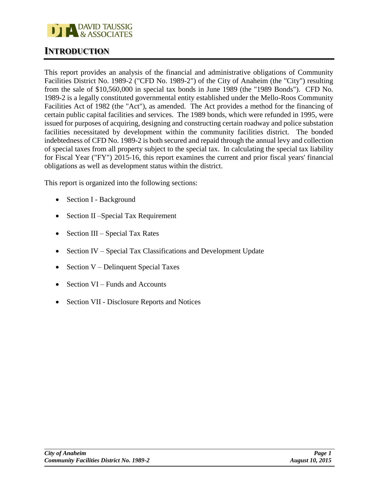

### **INTRODUCTION**

This report provides an analysis of the financial and administrative obligations of Community Facilities District No. 1989-2 ("CFD No. 1989-2") of the City of Anaheim (the "City") resulting from the sale of \$10,560,000 in special tax bonds in June 1989 (the "1989 Bonds"). CFD No. 1989-2 is a legally constituted governmental entity established under the Mello-Roos Community Facilities Act of 1982 (the "Act"), as amended. The Act provides a method for the financing of certain public capital facilities and services. The 1989 bonds, which were refunded in 1995, were issued for purposes of acquiring, designing and constructing certain roadway and police substation facilities necessitated by development within the community facilities district. The bonded indebtedness of CFD No. 1989-2 is both secured and repaid through the annual levy and collection of special taxes from all property subject to the special tax. In calculating the special tax liability for Fiscal Year ("FY") 2015-16, this report examines the current and prior fiscal years' financial obligations as well as development status within the district.

This report is organized into the following sections:

- Section I Background
- Section II Special Tax Requirement
- Section III Special Tax Rates
- Section IV Special Tax Classifications and Development Update
- Section  $V$  Delinquent Special Taxes
- Section VI Funds and Accounts
- Section VII Disclosure Reports and Notices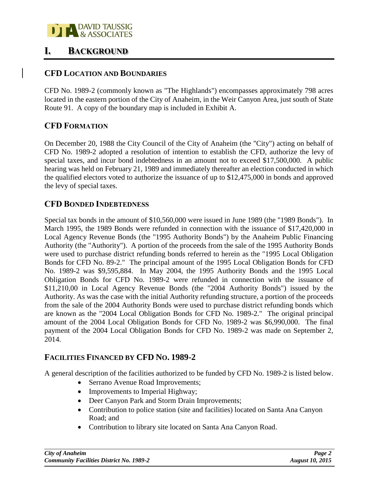

### **I. BACKGROUND**

### **CFD LOCATION AND BOUNDARIES**

CFD No. 1989-2 (commonly known as "The Highlands") encompasses approximately 798 acres located in the eastern portion of the City of Anaheim, in the Weir Canyon Area, just south of State Route 91. A copy of the boundary map is included in Exhibit A.

### **CFD FORMATION**

On December 20, 1988 the City Council of the City of Anaheim (the "City") acting on behalf of CFD No. 1989-2 adopted a resolution of intention to establish the CFD, authorize the levy of special taxes, and incur bond indebtedness in an amount not to exceed \$17,500,000. A public hearing was held on February 21, 1989 and immediately thereafter an election conducted in which the qualified electors voted to authorize the issuance of up to \$12,475,000 in bonds and approved the levy of special taxes.

### **CFD BONDED INDEBTEDNESS**

Special tax bonds in the amount of \$10,560,000 were issued in June 1989 (the "1989 Bonds"). In March 1995, the 1989 Bonds were refunded in connection with the issuance of \$17,420,000 in Local Agency Revenue Bonds (the "1995 Authority Bonds") by the Anaheim Public Financing Authority (the "Authority"). A portion of the proceeds from the sale of the 1995 Authority Bonds were used to purchase district refunding bonds referred to herein as the "1995 Local Obligation Bonds for CFD No. 89-2." The principal amount of the 1995 Local Obligation Bonds for CFD No. 1989-2 was \$9,595,884. In May 2004, the 1995 Authority Bonds and the 1995 Local Obligation Bonds for CFD No. 1989-2 were refunded in connection with the issuance of \$11,210,00 in Local Agency Revenue Bonds (the "2004 Authority Bonds") issued by the Authority. As was the case with the initial Authority refunding structure, a portion of the proceeds from the sale of the 2004 Authority Bonds were used to purchase district refunding bonds which are known as the "2004 Local Obligation Bonds for CFD No. 1989-2." The original principal amount of the 2004 Local Obligation Bonds for CFD No. 1989-2 was \$6,990,000. The final payment of the 2004 Local Obligation Bonds for CFD No. 1989-2 was made on September 2, 2014.

### **FACILITIES FINANCED BY CFD NO. 1989-2**

A general description of the facilities authorized to be funded by CFD No. 1989-2 is listed below.

- Serrano Avenue Road Improvements;
- Improvements to Imperial Highway;
- Deer Canyon Park and Storm Drain Improvements;
- Contribution to police station (site and facilities) located on Santa Ana Canyon Road; and
- Contribution to library site located on Santa Ana Canyon Road.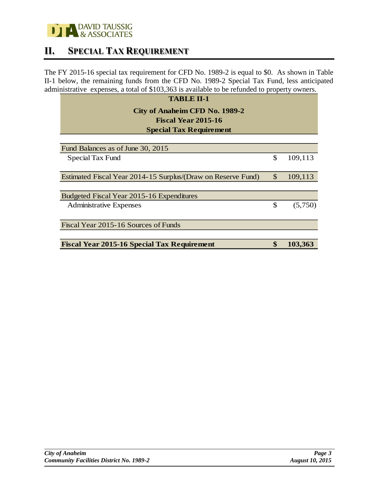

### **II. SPECIAL TAX REQUIREMENT**

The FY 2015-16 special tax requirement for CFD No. 1989-2 is equal to \$0. As shown in Table II-1 below, the remaining funds from the CFD No. 1989-2 Special Tax Fund, less anticipated administrative expenses, a total of \$103,363 is available to be refunded to property owners.

| <b>TABLE II-1</b>                                            |               |
|--------------------------------------------------------------|---------------|
| City of Anaheim CFD No. 1989-2<br><b>Fiscal Year 2015-16</b> |               |
| <b>Special Tax Requirement</b>                               |               |
| Fund Balances as of June 30, 2015                            |               |
| Special Tax Fund                                             | \$<br>109,113 |
| Estimated Fiscal Year 2014-15 Surplus/(Draw on Reserve Fund) | \$<br>109,113 |
| Budgeted Fiscal Year 2015-16 Expenditures                    |               |
| <b>Administrative Expenses</b>                               | \$<br>(5,750) |
| Fiscal Year 2015-16 Sources of Funds                         |               |
| <b>Fiscal Year 2015-16 Special Tax Requirement</b>           | 103,363       |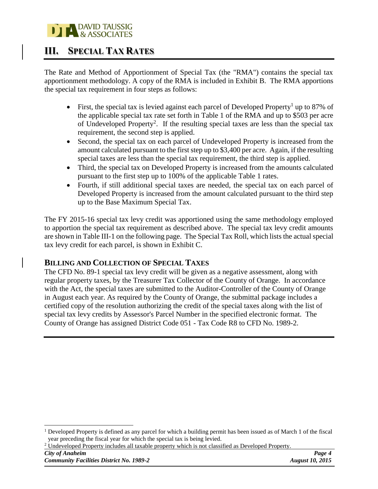### **DAVID TAUSSIG** & ASSOCIATES

## **III. SPECIAL TAX RATES**

The Rate and Method of Apportionment of Special Tax (the "RMA") contains the special tax apportionment methodology. A copy of the RMA is included in Exhibit B. The RMA apportions the special tax requirement in four steps as follows:

- First, the special tax is levied against each parcel of Developed Property<sup>1</sup> up to 87% of the applicable special tax rate set forth in Table 1 of the RMA and up to \$503 per acre of Undeveloped Property<sup>2</sup>. If the resulting special taxes are less than the special tax requirement, the second step is applied.
- Second, the special tax on each parcel of Undeveloped Property is increased from the amount calculated pursuant to the first step up to \$3,400 per acre. Again, if the resulting special taxes are less than the special tax requirement, the third step is applied.
- Third, the special tax on Developed Property is increased from the amounts calculated pursuant to the first step up to 100% of the applicable Table 1 rates.
- Fourth, if still additional special taxes are needed, the special tax on each parcel of Developed Property is increased from the amount calculated pursuant to the third step up to the Base Maximum Special Tax.

The FY 2015-16 special tax levy credit was apportioned using the same methodology employed to apportion the special tax requirement as described above. The special tax levy credit amounts are shown in Table III-1 on the following page. The Special Tax Roll, which lists the actual special tax levy credit for each parcel, is shown in Exhibit C.

### **BILLING AND COLLECTION OF SPECIAL TAXES**

The CFD No. 89-1 special tax levy credit will be given as a negative assessment, along with regular property taxes, by the Treasurer Tax Collector of the County of Orange. In accordance with the Act, the special taxes are submitted to the Auditor-Controller of the County of Orange in August each year. As required by the County of Orange, the submittal package includes a certified copy of the resolution authorizing the credit of the special taxes along with the list of special tax levy credits by Assessor's Parcel Number in the specified electronic format. The County of Orange has assigned District Code 051 - Tax Code R8 to CFD No. 1989-2.

<sup>2</sup> Undeveloped Property includes all taxable property which is not classified as Developed Property.

 $\overline{a}$ 

<sup>&</sup>lt;sup>1</sup> Developed Property is defined as any parcel for which a building permit has been issued as of March 1 of the fiscal year preceding the fiscal year for which the special tax is being levied.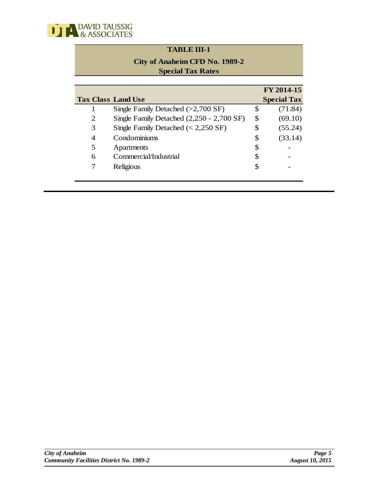

### **TABLE III-1 TABLE III-2**

### **City of Anaheim CFD No. 1989-2 City of Anaheim CFD No. 1989-2 Special Tax Rates**

|                           |                                              |    | FY 2014-15         |
|---------------------------|----------------------------------------------|----|--------------------|
| <b>Tax Class Land Use</b> |                                              |    | <b>Special Tax</b> |
|                           | Single Family Detached $(>2,700 \text{ SF})$ | \$ | (71.84)            |
| 2                         | Single Family Detached (2,250 - 2,700 SF)    | \$ | (69.10)            |
| 3                         | Single Family Detached $(< 2,250$ SF)        | \$ | (55.24)            |
| 4                         | Condominiums                                 | \$ | (33.14)            |
| 5                         | Apartments                                   | \$ |                    |
| 6                         | Commercial/Industrial                        | S  |                    |
|                           | Religious                                    | S  |                    |
|                           |                                              |    |                    |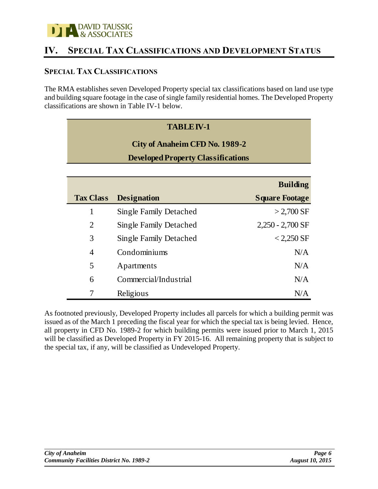

## **IV. SPECIAL TAX CLASSIFICATIONS AND DEVELOPMENT STATUS**

### **SPECIAL TAX CLASSIFICATIONS**

The RMA establishes seven Developed Property special tax classifications based on land use type and building square footage in the case of single family residential homes. The Developed Property classifications are shown in Table IV-1 below.

### **TABLE IV-1 TABLE IV-2**

### **City of Anaheim CFD No. 1989-2 City of Anaheim CFD No. 1989-2**

### **Developed Property Classifications**

|                  |                               | <b>Building</b>       |
|------------------|-------------------------------|-----------------------|
| <b>Tax Class</b> | <b>Designation</b>            | <b>Square Footage</b> |
| 1                | <b>Single Family Detached</b> | $>$ 2,700 SF          |
| $\overline{2}$   | <b>Single Family Detached</b> | $2,250 - 2,700$ SF    |
| 3                | <b>Single Family Detached</b> | $<$ 2,250 SF          |
| $\overline{4}$   | Condominiums                  | N/A                   |
| 5                | Apartments                    | N/A                   |
| 6                | Commercial/Industrial         | N/A                   |
|                  | Religious                     | N/A                   |

As footnoted previously, Developed Property includes all parcels for which a building permit was issued as of the March 1 preceding the fiscal year for which the special tax is being levied. Hence, all property in CFD No. 1989-2 for which building permits were issued prior to March 1, 2015 will be classified as Developed Property in FY 2015-16. All remaining property that is subject to the special tax, if any, will be classified as Undeveloped Property.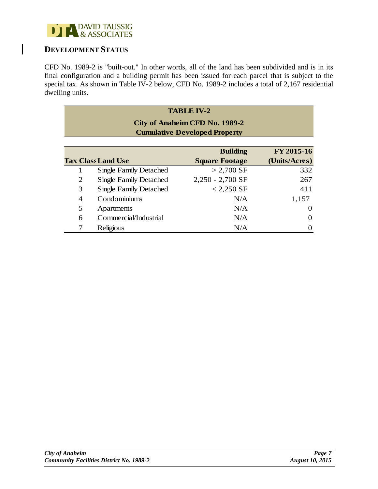

### **DEVELOPMENT STATUS**

CFD No. 1989-2 is "built-out." In other words, all of the land has been subdivided and is in its final configuration and a building permit has been issued for each parcel that is subject to the special tax. As shown in Table IV-2 below, CFD No. 1989-2 includes a total of 2,167 residential dwelling units.

|                                                                        | <b>TABLE IV-2</b>             |                       |               |  |  |  |
|------------------------------------------------------------------------|-------------------------------|-----------------------|---------------|--|--|--|
| City of Anaheim CFD No. 1989-2<br><b>Cumulative Developed Property</b> |                               |                       |               |  |  |  |
|                                                                        |                               | <b>Building</b>       | FY 2015-16    |  |  |  |
|                                                                        | <b>Tax Class Land Use</b>     | <b>Square Footage</b> | (Units/Acres) |  |  |  |
|                                                                        | <b>Single Family Detached</b> | $> 2,700 \text{ SF}$  | 332           |  |  |  |
| 2                                                                      | <b>Single Family Detached</b> | $2,250 - 2,700$ SF    | 267           |  |  |  |
| 3                                                                      | <b>Single Family Detached</b> | $< 2,250$ SF          | 411           |  |  |  |
| $\overline{4}$                                                         | Condominiums                  | N/A                   | 1,157         |  |  |  |
| 5                                                                      | Apartments                    | N/A                   | 0             |  |  |  |
| 6                                                                      | Commercial/Industrial         | N/A                   | 0             |  |  |  |
|                                                                        | Religious                     | N/A                   |               |  |  |  |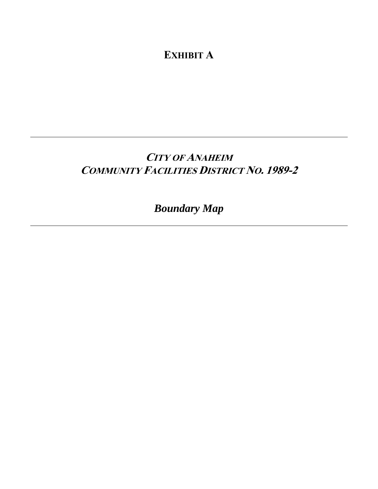**EXHIBIT A**

## **CITY OF ANAHEIM COMMUNITY FACILITIES DISTRICT NO. 1989-2**

# *Boundary Map*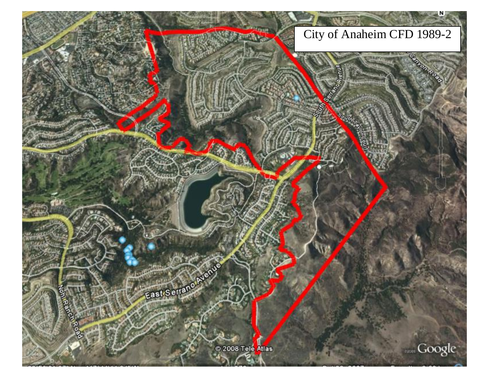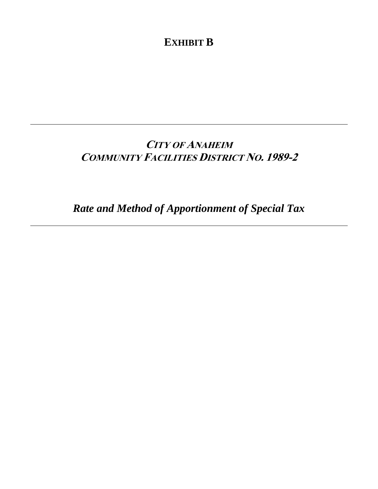**EXHIBIT B**

## **CITY OF ANAHEIM COMMUNITY FACILITIES DISTRICT NO. 1989-2**

*Rate and Method of Apportionment of Special Tax*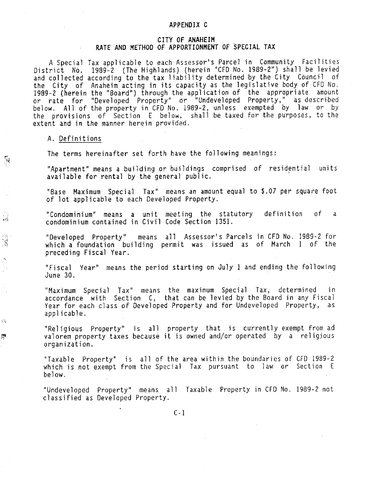### APPENDIX C

### CITY OF ANAHEIM RATE AND METHOD OF APPORTIONMENT OF SPECIAL TAX

A Special Tax applicable to each Assessor's Parcel in Community Facilities District No. 1989-2 (The Highlands) (herein "CFD No. 1989-2") shall be levied and collected according to the tax liability determined by the City Council of the City of Anaheim acting in its capacity as the legislative body of CFD No. 1989-2 (herein the "Board") through the application of the appropriate amount or rate for "Developed Property" or "Undeveloped Property," as described<br>below. All of the property in CFD No. 1989-2, unless exempted by law or by<br>the provisions of Section E below, shall be taxed for the purposes, to the extent and in the manner herein provided.

#### A. Definitions

多少的

 $\zeta(\zeta)$ 

悫

The terms hereinafter set forth have the following meanings:

"Apartment" means a building or buildings comprised of residential units available for rental by the general public.

"Base Maximum Special Tax" means an amount equal to \$.07 per square foot of lot applicable to each Developed Property.

definition "Condominium" means a unit meeting the statutory o f a condominium contained in Civil Code Section 1351.

"Developed Property" means all Assessor's Parcels in CFD No. 1989-2 for which a foundation building permit was issued as of March 1 of the preceding Fiscal Year.

"Fiscal Year" means the period starting on July 1 and ending the following June 30.

"Maximum Special Tax" means the maximum Special Tax, determined in accordance with Section C, that can be levied by the Board in any Fiscal Year for each class of Developed Property and for Undeveloped Property, as applicable.

"Religious Property" is all property that is currently exempt from ad valorem property taxes because it is owned and/or operated by a religious organization.

"Taxable Property" is all of the area within the boundaries of CFD 1989-2 which is not exempt from the Special Tax pursuant to law or Section E below.

"Undeveloped Property" means all Taxable Property in CFD No. 1989-2 not classified as Developed Property.

 $C - 1$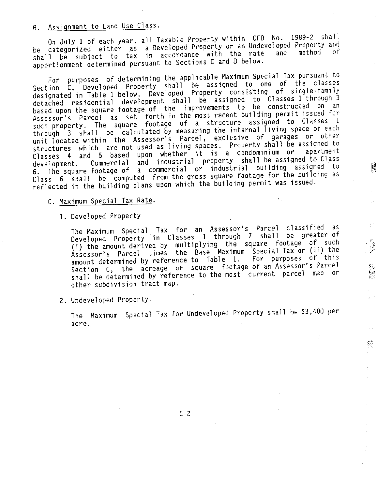### B. Assignment to Land Use Class.

On July 1 of each year, all Taxable Property within CFD No. 1989-2 shall be categorized either as a Developed Property or an Undeveloped Property and<br>shall be subject to tax in accordance with the rate and method of apportionment determined pursuant to Sections C and D below.

For purposes of determining the applicable Maximum Special Tax pursuant to Section C, Developed Property shall be assigned to one of the classes designated in Table 1 below. Developed Property consisting of single-family detached residential development shall be assigned to Classes l through 3 based upon the square footage of the improvements to be constructed on an Assessor's Parcel as set forth in the most recent building permit issued for<br>such property. The square footage of a structure assigned to Classes 1 through 3 shall be calculated by measuring the internal living space of each unit located within the Assessor's Parcel, exclusive of garages or other structures which are not used as living spaces. Property shall be assigned to Classes 4 and 5 based upon whether it is a condominium or apartment development. Commercial and industrial property shall be assigned to Class<br>6. The square footage of a commercial or industrial building assigned to Class 6 shall be computed from the gross square footage for the building as reflected in the building plans upon which the building permit was issued.

C. Maximum Special Tax Rate.

1. Developed Property

The Maximum Special Tax for an Assessor's Parcel classified as Developed Property in Classes 1 through 7 shall be greater of (i) the amount derived by multiplying the square footage of such Assessor's Parcel times the Base Maximum Special Tax or (ii) the amount determined by reference to Table 1. For purposes of this Section C, the acreage or square footage of an Assessor's Parcel shall be determined by reference to the most current parcel map or other subdivision tract map.

Ş

e in

 $\frac{1}{2}$  ,  $\frac{1}{2}$ 

2. Undeveloped Property.

The Maximum Special Tax for Undeveloped Property shall be \$3,400 per acre.

 $C - 2$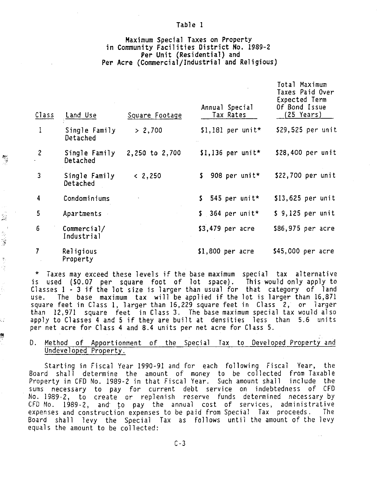### Maximum Special Taxes on Property in Community Facilities District No. 1989-2 Per Unit (Residential) and Per Acre (Commercial/Industrial and Religious)

Table 1

| Class          | Land Use                  | Square Footage | Annual Special<br>Tax Rates | Total Maximum<br>Taxes Paid Over<br>Expected Term<br>Of Bond Issue<br>$(25 \text{ Years})$ |
|----------------|---------------------------|----------------|-----------------------------|--------------------------------------------------------------------------------------------|
| 1              | Single Family<br>Detached | > 2,700        | $$1,181$ per unit*          | \$29,525 per unit                                                                          |
| $\overline{c}$ | Single Family<br>Detached | 2,250 to 2,700 | $$1,136$ per unit*          | \$28,400 per unit                                                                          |
| 3              | Single Family<br>Detached | < 2,250        | \$<br>908 per unit*         | \$22,700 per unit                                                                          |
| 4              | Condominiums              |                | $$545 per unit*$            | $$13,625$ per unit                                                                         |
| 5              | Apartments                |                | $$364$ per unit*            | $$9,125$ per unit                                                                          |
| 6              | Commercial/<br>Industrial |                | $$3,479$ per acre           | \$86,975 per acre                                                                          |
| 7              | Religious<br>Property     |                | $$1,800$ per acre           | \$45,000 per acre                                                                          |

 $\begin{array}{c} \mathbf{y} \\ \mathbf{y} \end{array}$ 

 $\frac{1}{2}$ 

电子管

ξÇ

\* Taxes may exceed these levels if the base maximum special tax alternative is used (\$0.07 per square foot of lot space). This would only apply to Classes 1 - 3 if the lot size is larger than usual for that category of land The base maximum tax will be applied if the lot is larger than 16,871 use. square feet in Class 1, larger than 16,229 square feet in Class 2, or larger than 12,971 square feet in Class 3. The base maximum special tax would also apply to Classes 4 and 5 if they are built at densities less than 5.6 units per net acre for Class 4 and 8.4 units per net acre for Class 5.

#### Method of Apportionment of the Special Tax to Developed Property and D. Undeveloped Property.

Starting in Fiscal Year 1990-91 and for each following Fiscal Year, the Board shall determine the amount of money to be collected from Taxable Property in CFD No. 1989-2 in that Fiscal Year. Such amount shall include the sums necessary to pay for current debt service on indebtedness of CFD No. 1989-2, to create or replenish reserve funds determined necessary by<br>CFD No. 1989-2, and to pay the annual cost of services, administrative expenses and construction expenses to be paid from Special Tax proceeds. - The Board shall levy the Special Tax as follows until the amount of the levy equals the amount to be collected: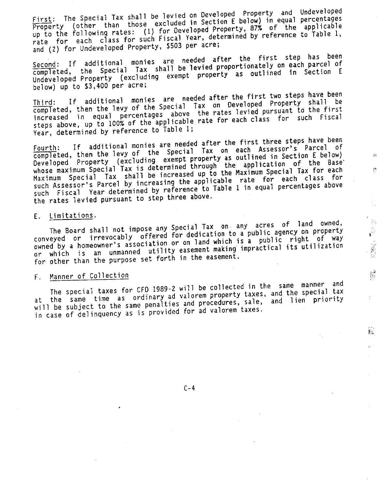First: The Special Tax shall be levied on Developed Property and Undeveloped Property (other than those excluded in Section E below) in equal percentages up to the following rates: (1) for Developed Property, 87% of the applicable rate for each class for such Fiscal Year, determined by reference to Table 1, and (2) for Undeveloped Property, \$503 per acre;

Second: If additional monies are needed after the first step has been completed, the Special Tax shall be levied proportionately on each parcel of Undeveloped Property (excluding exempt property as outlined in Section E below) up to \$3,400 per acre;

If additional monies are needed after the first two steps have been completed, then the levy of the Special Tax on Developed Property shall be increased in equal percentages above the rates levied pursuant to the first steps above, up to 100% of the applicable rate for each class for such Fiscal Year, determined by reference to Table 1;

If additional monies are needed after the first three steps have been completed, then the levy of the Special Tax on each Assessor's Parcel of Developed Property (excluding exempt property as outlined in Section E below) whose maximum Special Tax is determined through the application of the Base<br>Maximum Special Tax shall be increased up to the Maximum Special Tax for each such Assessor's Parcel by increasing the applicable rate for each class for such Fiscal Year determined by reference to Table 1 in equal percentages above the rates levied pursuant to step three above.

#### E. Limitations.

The Board shall not impose any Special Tax on any acres of land owned, conveyed or irrevocably offered for dedication to a public agency on property owned by a homeowner's association or on land which is a public right of way or which is an unmanned utility easement making impractical its utilization for other than the purpose set forth in the easement.

1. 大家 (1)

ķ.

### F. Manner of Collection

The special taxes for CFD 1989-2 will be collected in the same manner and at the same time as ordinary ad valorem property taxes, and the special tax will be subject to the same penalties and procedures, sale, and lien priority in case of delinquency as is provided for ad valorem taxes.

 $C - 4$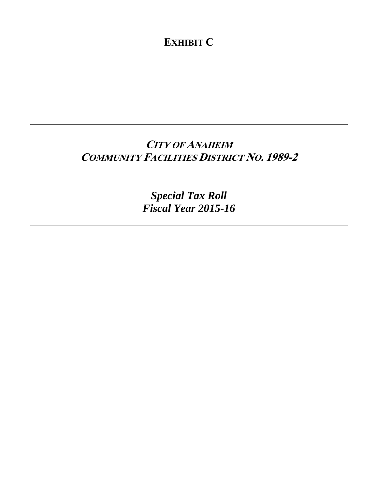**EXHIBIT C**

## **CITY OF ANAHEIM COMMUNITY FACILITIES DISTRICT NO. 1989-2**

*Special Tax Roll Fiscal Year 2015-16*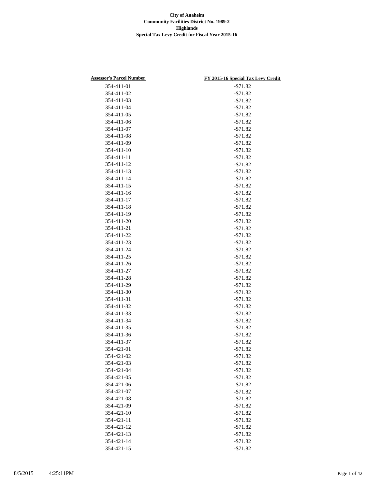| <b>Assessor's Parcel Number</b> | FY 2015-16 Special Tax Levy Credit |
|---------------------------------|------------------------------------|
| 354-411-01                      | $- $71.82$                         |
| 354-411-02                      | $- $71.82$                         |
| 354-411-03                      | $- $71.82$                         |
| 354-411-04                      | $- $71.82$                         |
| 354-411-05                      | $-571.82$                          |
| 354-411-06                      | $- $71.82$                         |
| 354-411-07                      | $- $71.82$                         |
| 354-411-08                      | $- $71.82$                         |
| 354-411-09                      | $- $71.82$                         |
| 354-411-10                      | $- $71.82$                         |
| 354-411-11                      | $- $71.82$                         |
| 354-411-12                      | $- $71.82$                         |
| 354-411-13                      | $- $71.82$                         |
| 354-411-14                      | $- $71.82$                         |
| 354-411-15                      | $- $71.82$                         |
| 354-411-16                      | $- $71.82$                         |
| 354-411-17                      | $- $71.82$                         |
| 354-411-18                      | $- $71.82$                         |
| 354-411-19                      |                                    |
| 354-411-20                      | $- $71.82$                         |
|                                 | $- $71.82$                         |
| 354-411-21                      | $- $71.82$                         |
| 354-411-22                      | $- $71.82$                         |
| 354-411-23                      | $- $71.82$                         |
| 354-411-24                      | $- $71.82$                         |
| 354-411-25                      | $- $71.82$                         |
| 354-411-26                      | $- $71.82$                         |
| 354-411-27                      | $- $71.82$                         |
| 354-411-28                      | $- $71.82$                         |
| 354-411-29                      | $- $71.82$                         |
| 354-411-30                      | $- $71.82$                         |
| 354-411-31                      | $- $71.82$                         |
| 354-411-32                      | $- $71.82$                         |
| 354-411-33                      | $- $71.82$                         |
| 354-411-34                      | $- $71.82$                         |
| 354-411-35                      | $- $71.82$                         |
| 354-411-36                      | $- $71.82$                         |
| 354-411-37                      | $- $71.82$                         |
| 354-421-01                      | $- $71.82$                         |
| 354-421-02                      | $- $71.82$                         |
| 354-421-03                      | $- $71.82$                         |
| 354-421-04                      | $-571.82$                          |
| 354-421-05                      | $- $71.82$                         |
| 354-421-06                      | $- $71.82$                         |
| 354-421-07                      | $- $71.82$                         |
| 354-421-08                      | $-$71.82$                          |
| 354-421-09                      | $- $71.82$                         |
| 354-421-10                      | $- $71.82$                         |
| 354-421-11                      | $- $71.82$                         |
| 354-421-12                      | $- $71.82$                         |
| 354-421-13                      | $- $71.82$                         |
| 354-421-14                      | $- $71.82$                         |
| 354-421-15                      | $- $71.82$                         |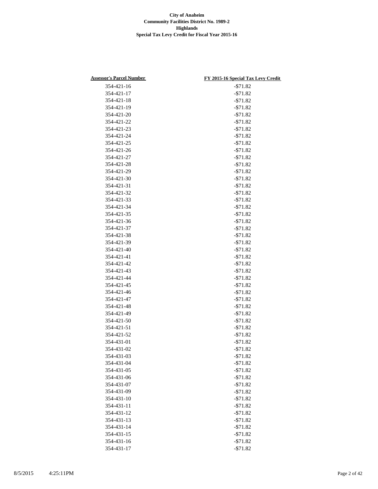| <b>Assessor's Parcel Number</b> | FY 2015-16 Special Tax Levy Credit |
|---------------------------------|------------------------------------|
| 354-421-16                      | $- $71.82$                         |
| 354-421-17                      | $- $71.82$                         |
| 354-421-18                      | $- $71.82$                         |
| 354-421-19                      | $-571.82$                          |
| 354-421-20                      | $- $71.82$                         |
| 354-421-22                      | $- $71.82$                         |
| 354-421-23                      | $- $71.82$                         |
| 354-421-24                      | $- $71.82$                         |
| 354-421-25                      | $- $71.82$                         |
| 354-421-26                      | $- $71.82$                         |
| 354-421-27                      | $- $71.82$                         |
| 354-421-28                      | $- $71.82$                         |
| 354-421-29                      | $- $71.82$                         |
| 354-421-30                      | $- $71.82$                         |
| 354-421-31                      | $- $71.82$                         |
| 354-421-32                      | $-571.82$                          |
| 354-421-33                      | $- $71.82$                         |
| 354-421-34                      | $- $71.82$                         |
| 354-421-35                      | $- $71.82$                         |
| 354-421-36                      | $-$71.82$                          |
| 354-421-37                      | $- $71.82$                         |
| 354-421-38                      | $- $71.82$                         |
| 354-421-39                      | $- $71.82$                         |
| 354-421-40                      | $- $71.82$                         |
|                                 |                                    |
| 354-421-41                      | $- $71.82$                         |
| 354-421-42                      | $- $71.82$                         |
| 354-421-43                      | $- $71.82$                         |
| 354-421-44<br>354-421-45        | $-571.82$                          |
| 354-421-46                      | $- $71.82$<br>$- $71.82$           |
|                                 |                                    |
| 354-421-47<br>354-421-48        | $- $71.82$                         |
|                                 | $- $71.82$                         |
| 354-421-49                      | $-$71.82$                          |
| 354-421-50                      | $- $71.82$                         |
| 354-421-51                      | $- $71.82$                         |
| 354-421-52                      | $- $71.82$                         |
| 354-431-01                      | $- $71.82$                         |
| 354-431-02                      | $- $71.82$                         |
| 354-431-03                      | $- $71.82$                         |
| 354-431-04                      | $- $71.82$                         |
| 354-431-05                      | $- $71.82$                         |
| 354-431-06                      | $-$71.82$                          |
| 354-431-07                      | $- $71.82$                         |
| 354-431-09                      | $- $71.82$                         |
| 354-431-10                      | $- $71.82$                         |
| 354-431-11                      | $-$71.82$                          |
| 354-431-12                      | $- $71.82$                         |
| 354-431-13                      | $- $71.82$                         |
| 354-431-14                      | $- $71.82$                         |
| 354-431-15                      | $- $71.82$                         |
| 354-431-16                      | $- $71.82$                         |
| 354-431-17                      | $- $71.82$                         |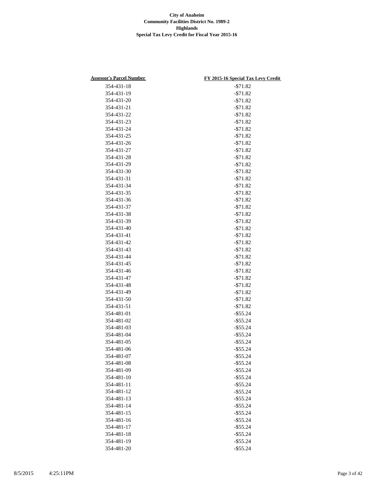| <b>Assessor's Parcel Number</b> | FY 2015-16 Special Tax Levy Credit |
|---------------------------------|------------------------------------|
| 354-431-18                      | $- $71.82$                         |
| 354-431-19                      | $- $71.82$                         |
| 354-431-20                      | $- $71.82$                         |
| 354-431-21                      | $- $71.82$                         |
| 354-431-22                      | $-571.82$                          |
| 354-431-23                      | $- $71.82$                         |
| 354-431-24                      | $- $71.82$                         |
| 354-431-25                      | $-$71.82$                          |
| 354-431-26                      | $-$71.82$                          |
| 354-431-27                      | $- $71.82$                         |
| 354-431-28                      | $- $71.82$                         |
| 354-431-29                      | $- $71.82$                         |
| 354-431-30                      | $- $71.82$                         |
| 354-431-31                      | $- $71.82$                         |
| 354-431-34                      | $- $71.82$                         |
| 354-431-35                      | $- $71.82$                         |
| 354-431-36                      | $- $71.82$                         |
| 354-431-37                      | $- $71.82$                         |
| 354-431-38                      | $- $71.82$                         |
|                                 | $-$71.82$                          |
| 354-431-39                      |                                    |
| 354-431-40                      | $- $71.82$                         |
| 354-431-41                      | $- $71.82$                         |
| 354-431-42                      | $- $71.82$                         |
| 354-431-43                      | $- $71.82$                         |
| 354-431-44                      | $- $71.82$                         |
| 354-431-45                      | $- $71.82$                         |
| 354-431-46                      | $- $71.82$                         |
| 354-431-47                      | $- $71.82$                         |
| 354-431-48                      | $- $71.82$                         |
| 354-431-49                      | $- $71.82$                         |
| 354-431-50                      | $- $71.82$                         |
| 354-431-51                      | $- $71.82$                         |
| 354-481-01                      | $-$ \$55.24                        |
| 354-481-02                      | $-$ \$55.24                        |
| 354-481-03                      | $-$ \$55.24                        |
| 354-481-04                      | $-$ \$55.24                        |
| 354-481-05                      | $-$ \$55.24                        |
| 354-481-06                      | $-$ \$55.24                        |
| 354-481-07                      | $-$ \$55.24                        |
| 354-481-08                      | $-$ \$55.24                        |
| 354-481-09                      | $-$ \$55.24                        |
| 354-481-10                      | $-$ \$55.24                        |
| 354-481-11                      | $-$ \$55.24                        |
| 354-481-12                      | $-$ \$55.24                        |
| 354-481-13                      | $-$ \$55.24                        |
| 354-481-14                      | $-$ \$55.24                        |
| 354-481-15                      | $-$ \$55.24                        |
| 354-481-16                      | $-$ \$55.24                        |
| 354-481-17                      | $-$ \$55.24                        |
| 354-481-18                      | $-$ \$55.24                        |
| 354-481-19                      | $-$ \$55.24                        |
| 354-481-20                      | $-$ \$55.24                        |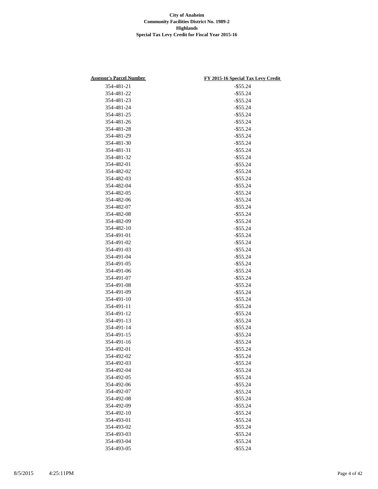| <b>Assessor's Parcel Number</b> | FY 2015-16 Special Tax Levy Credit |
|---------------------------------|------------------------------------|
| 354-481-21                      | $-$ \$55.24                        |
| 354-481-22                      | $-$ \$55.24                        |
| 354-481-23                      | $-$ \$55.24                        |
| 354-481-24                      | $-$ \$55.24                        |
| 354-481-25                      | $-$ \$55.24                        |
| 354-481-26                      | $-$ \$55.24                        |
| 354-481-28                      | $-$ \$55.24                        |
| 354-481-29                      | $-$ \$55.24                        |
| 354-481-30                      | $-$ \$55.24                        |
| 354-481-31                      | $-$ \$55.24                        |
| 354-481-32                      | $-$ \$55.24                        |
| 354-482-01                      | $-$ \$55.24                        |
| 354-482-02                      | $-$ \$55.24                        |
| 354-482-03                      | $-$ \$55.24                        |
| 354-482-04                      | $-$ \$55.24                        |
| 354-482-05                      | $-$ \$55.24                        |
| 354-482-06                      | $-$ \$55.24                        |
| 354-482-07                      | $-$ \$55.24                        |
|                                 | $-$ \$55.24                        |
| 354-482-08                      | $-$ \$55.24                        |
| 354-482-09                      |                                    |
| 354-482-10                      | $-$ \$55.24                        |
| 354-491-01                      | $-$ \$55.24                        |
| 354-491-02                      | $-$ \$55.24                        |
| 354-491-03                      | $-$ \$55.24                        |
| 354-491-04                      | $-$ \$55.24                        |
| 354-491-05                      | $-$ \$55.24                        |
| 354-491-06                      | $-$ \$55.24                        |
| 354-491-07                      | $-$ \$55.24                        |
| 354-491-08                      | $-$ \$55.24                        |
| 354-491-09                      | $-$ \$55.24                        |
| 354-491-10                      | $-$ \$55.24                        |
| 354-491-11                      | $-$ \$55.24                        |
| 354-491-12                      | $-$ \$55.24                        |
| 354-491-13                      | $-$ \$55.24                        |
| 354-491-14                      | $-$ \$55.24                        |
| 354-491-15                      | $-$ \$55.24                        |
| 354-491-16                      | $-$ \$55.24                        |
| 354-492-01                      | $-$ \$55.24                        |
| 354-492-02                      | $-$ \$55.24                        |
| 354-492-03                      | $-$ \$55.24                        |
| 354-492-04                      | $-$ \$55.24                        |
| 354-492-05                      | $-$ \$55.24                        |
| 354-492-06                      | $-$ \$55.24                        |
| 354-492-07                      | $-$ \$55.24                        |
| 354-492-08                      | $-$ \$55.24                        |
| 354-492-09                      | $-$ \$55.24                        |
| 354-492-10                      | $-$ \$55.24                        |
| 354-493-01                      | $-$ \$55.24                        |
| 354-493-02                      | $-$ \$55.24                        |
| 354-493-03                      | $-$ \$55.24                        |
| 354-493-04                      | $-$ \$55.24                        |
| 354-493-05                      | $-$ \$55.24                        |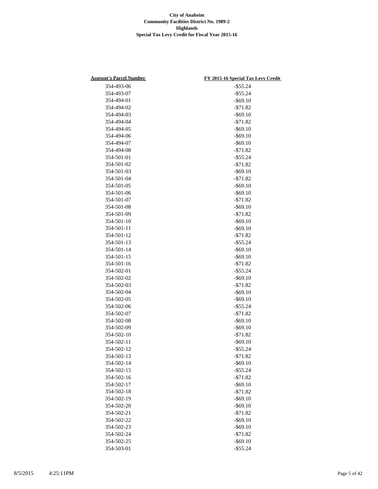| <b>Assessor's Parcel Number</b> | FY 2015-16 Special Tax Levy Credit |
|---------------------------------|------------------------------------|
| 354-493-06                      | $-$ \$55.24                        |
| 354-493-07                      | $-$ \$55.24                        |
| 354-494-01                      | $-$ \$69.10                        |
| 354-494-02                      | $- $71.82$                         |
| 354-494-03                      | $-$ \$69.10                        |
| 354-494-04                      | $- $71.82$                         |
| 354-494-05                      | $-$ \$69.10                        |
| 354-494-06                      | $-$ \$69.10                        |
| 354-494-07                      | $-$ \$69.10                        |
| 354-494-08                      | $- $71.82$                         |
| 354-501-01                      | $-$ \$55.24                        |
| 354-501-02                      | $- $71.82$                         |
| 354-501-03                      | $-$ \$69.10                        |
| 354-501-04                      | $- $71.82$                         |
| 354-501-05                      | $-$ \$69.10                        |
| 354-501-06                      | $-$ \$69.10                        |
| 354-501-07                      | $- $71.82$                         |
| 354-501-08                      | $-$ \$69.10                        |
| 354-501-09                      | $- $71.82$                         |
| 354-501-10                      | $-$ \$69.10                        |
| 354-501-11                      | $-$ \$69.10                        |
| 354-501-12                      | $- $71.82$                         |
| 354-501-13                      | $-$ \$55.24                        |
| 354-501-14                      | $-$ \$69.10                        |
| 354-501-15                      | $-$ \$69.10                        |
| 354-501-16                      | $- $71.82$                         |
| 354-502-01                      | $-$ \$55.24                        |
| 354-502-02                      | $-$ \$69.10                        |
| 354-502-03                      | $- $71.82$                         |
| 354-502-04                      | $-$ \$69.10                        |
| 354-502-05                      | $-$ \$69.10                        |
| 354-502-06                      | $-$ \$55.24                        |
| 354-502-07                      | $- $71.82$                         |
| 354-502-08                      | $-$ \$69.10                        |
| 354-502-09                      | $-$ \$69.10                        |
| 354-502-10                      | $- $71.82$                         |
| 354-502-11                      | $-$ \$69.10                        |
| 354-502-12                      | $-$ \$55.24                        |
| 354-502-13                      | $- $71.82$                         |
| 354-502-14                      | $-$ \$69.10                        |
| 354-502-15                      | $-$ \$55.24                        |
| 354-502-16                      | $- $71.82$                         |
| 354-502-17                      | $-$ \$69.10                        |
| 354-502-18                      | $- $71.82$                         |
| 354-502-19                      | $-$ \$69.10                        |
| 354-502-20                      | $-$ \$69.10                        |
| 354-502-21                      | $- $71.82$                         |
| 354-502-22                      | $-$ \$69.10                        |
| 354-502-23                      | $-$ \$69.10                        |
| 354-502-24                      | $- $71.82$                         |
| 354-502-25                      | $-$ \$69.10                        |
| 354-503-01                      | $-$ \$55.24                        |
|                                 |                                    |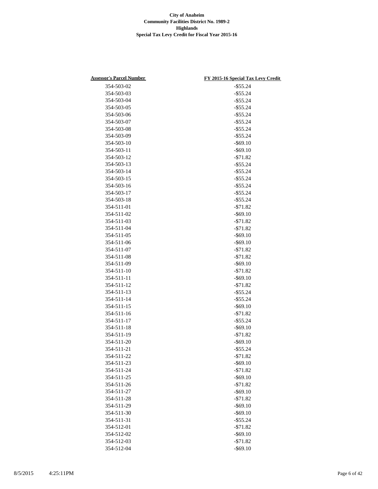| <b>Assessor's Parcel Number</b> | FY 2015-16 Special Tax Levy Credit |
|---------------------------------|------------------------------------|
| 354-503-02                      | $-$ \$55.24                        |
| 354-503-03                      | $-$ \$55.24                        |
| 354-503-04                      | $-$ \$55.24                        |
| 354-503-05                      | $-$ \$55.24                        |
| 354-503-06                      | $-$ \$55.24                        |
| 354-503-07                      | $-$ \$55.24                        |
| 354-503-08                      | $-$ \$55.24                        |
| 354-503-09                      | $-$ \$55.24                        |
| 354-503-10                      | $-$ \$69.10                        |
| 354-503-11                      | $-$ \$69.10                        |
| 354-503-12                      | $- $71.82$                         |
| 354-503-13                      | $-$ \$55.24                        |
| 354-503-14                      | $-$ \$55.24                        |
| 354-503-15                      | $-$ \$55.24                        |
| 354-503-16                      | $-$ \$55.24                        |
| 354-503-17                      | $-$ \$55.24                        |
| 354-503-18                      | $-$ \$55.24                        |
| 354-511-01                      | $- $71.82$                         |
| 354-511-02                      | $-$ \$69.10                        |
| 354-511-03                      | $- $71.82$                         |
| 354-511-04                      | $- $71.82$                         |
| 354-511-05                      | $-$ \$69.10                        |
| 354-511-06                      | $-$ \$69.10                        |
| 354-511-07                      | $- $71.82$                         |
| 354-511-08                      | $- $71.82$                         |
| 354-511-09                      | $-$ \$69.10                        |
| 354-511-10                      | $- $71.82$                         |
| 354-511-11                      | $-$ \$69.10                        |
| 354-511-12                      | $- $71.82$                         |
| 354-511-13                      | $-$ \$55.24                        |
| 354-511-14                      | $-$ \$55.24                        |
| 354-511-15                      | $-$ \$69.10                        |
| 354-511-16                      | $- $71.82$                         |
| 354-511-17                      | $-$ \$55.24                        |
| 354-511-18                      | $-$ \$69.10                        |
| 354-511-19                      | $- $71.82$                         |
| 354-511-20                      | $-$ \$69.10                        |
| 354-511-21                      | $-$ \$55.24                        |
| 354-511-22                      | $- $71.82$                         |
| 354-511-23                      | $-$ \$69.10                        |
| 354-511-24                      | $- $71.82$                         |
| 354-511-25                      | $-$ \$69.10                        |
| 354-511-26                      | $- $71.82$                         |
| 354-511-27                      | $-$ \$69.10                        |
| 354-511-28                      | $- $71.82$                         |
| 354-511-29                      | $-$ \$69.10                        |
| 354-511-30                      | $-$ \$69.10                        |
| 354-511-31                      | $-$ \$55.24                        |
| 354-512-01                      | $- $71.82$                         |
| 354-512-02                      | $-$ \$69.10                        |
| 354-512-03                      | $- $71.82$                         |
| 354-512-04                      | $-$ \$69.10                        |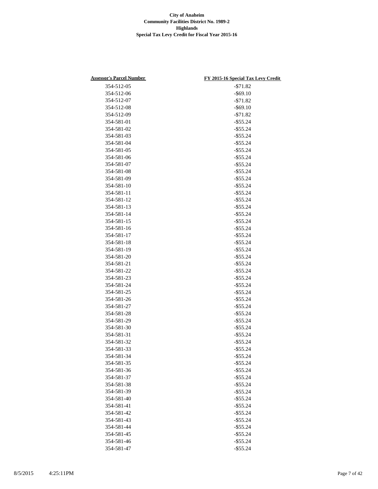| <b>Assessor's Parcel Number</b> | FY 2015-16 Special Tax Levy Credit |
|---------------------------------|------------------------------------|
| 354-512-05                      | $- $71.82$                         |
| 354-512-06                      | $-$ \$69.10                        |
| 354-512-07                      | $- $71.82$                         |
| 354-512-08                      | $-$ \$69.10                        |
| 354-512-09                      | $-571.82$                          |
| 354-581-01                      | $-$ \$55.24                        |
| 354-581-02                      | $-$ \$55.24                        |
| 354-581-03                      | $-$ \$55.24                        |
| 354-581-04                      | $-$ \$55.24                        |
| 354-581-05                      | $-$ \$55.24                        |
| 354-581-06                      | $-$ \$55.24                        |
| 354-581-07                      | $-$ \$55.24                        |
| 354-581-08                      | $-$ \$55.24                        |
| 354-581-09                      | $-$ \$55.24                        |
| 354-581-10                      | $-$ \$55.24                        |
| 354-581-11                      | $-$ \$55.24                        |
| 354-581-12                      | $-$ \$55.24                        |
| 354-581-13                      | $-$ \$55.24                        |
| 354-581-14                      | $-$ \$55.24                        |
| 354-581-15                      | $-$ \$55.24                        |
| 354-581-16                      | $-$ \$55.24                        |
| 354-581-17                      | $-$ \$55.24                        |
| 354-581-18                      | $-$ \$55.24                        |
| 354-581-19                      | $-$ \$55.24                        |
| 354-581-20                      | $-$ \$55.24                        |
| 354-581-21                      | $-$ \$55.24                        |
| 354-581-22                      | $-$ \$55.24                        |
| 354-581-23                      | $-$ \$55.24                        |
| 354-581-24                      | $-$ \$55.24                        |
| 354-581-25                      | $-$ \$55.24                        |
| 354-581-26                      | $-$ \$55.24                        |
| 354-581-27                      | $-$ \$55.24                        |
| 354-581-28                      | $-$ \$55.24                        |
| 354-581-29                      | $-$ \$55.24                        |
| 354-581-30                      | $-$ \$55.24                        |
| 354-581-31                      | $-$ \$55.24                        |
| 354-581-32                      | $-$ \$55.24                        |
| 354-581-33                      | $-$ \$55.24                        |
| 354-581-34                      | $-$ \$55.24                        |
| 354-581-35                      | $-$ \$55.24                        |
| 354-581-36                      | $-$ \$55.24                        |
| 354-581-37                      | $-$ \$55.24                        |
| 354-581-38                      | $-$ \$55.24                        |
| 354-581-39                      | $-$ \$55.24                        |
|                                 | $-$ \$55.24                        |
| 354-581-40                      |                                    |
| 354-581-41<br>354-581-42        | $-$ \$55.24<br>$-$ \$55.24         |
|                                 |                                    |
| 354-581-43                      | $-$ \$55.24                        |
| 354-581-44                      | $-$ \$55.24                        |
| 354-581-45                      | $-$ \$55.24                        |
| 354-581-46                      | $-$ \$55.24                        |
| 354-581-47                      | $-$ \$55.24                        |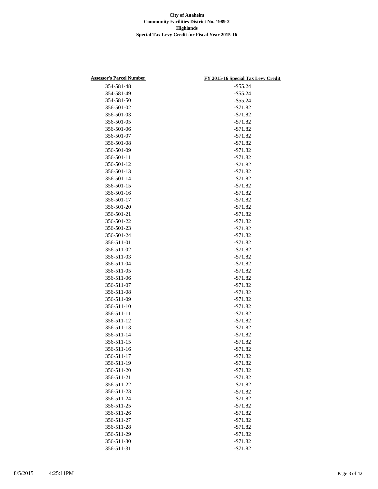| <b>Assessor's Parcel Number</b> | FY 2015-16 Special Tax Levy Credit |
|---------------------------------|------------------------------------|
| 354-581-48                      | $-$ \$55.24                        |
| 354-581-49                      | $-$ \$55.24                        |
| 354-581-50                      | $-$ \$55.24                        |
| 356-501-02                      | $- $71.82$                         |
| 356-501-03                      | $- $71.82$                         |
| 356-501-05                      | $- $71.82$                         |
| 356-501-06                      | $- $71.82$                         |
| 356-501-07                      | $-$71.82$                          |
| 356-501-08                      | $- $71.82$                         |
| 356-501-09                      | $- $71.82$                         |
| 356-501-11                      | $- $71.82$                         |
| 356-501-12                      | $- $71.82$                         |
| 356-501-13                      | $- $71.82$                         |
| 356-501-14                      | $- $71.82$                         |
| 356-501-15                      | $- $71.82$                         |
| 356-501-16                      | $- $71.82$                         |
| 356-501-17                      | $- $71.82$                         |
| 356-501-20                      | $- $71.82$                         |
| 356-501-21                      | $- $71.82$                         |
| 356-501-22                      | $- $71.82$                         |
| 356-501-23                      |                                    |
| 356-501-24                      | $- $71.82$                         |
|                                 | $- $71.82$                         |
| 356-511-01                      | $- $71.82$                         |
| 356-511-02                      | $- $71.82$                         |
| 356-511-03                      | $- $71.82$                         |
| 356-511-04                      | $- $71.82$                         |
| 356-511-05                      | $- $71.82$                         |
| 356-511-06                      | $- $71.82$                         |
| 356-511-07                      | $- $71.82$                         |
| 356-511-08                      | $- $71.82$                         |
| 356-511-09                      | $- $71.82$                         |
| 356-511-10                      | $- $71.82$                         |
| 356-511-11                      | $- $71.82$                         |
| 356-511-12                      | $- $71.82$                         |
| 356-511-13                      | $- $71.82$                         |
| 356-511-14                      | $- $71.82$                         |
| 356-511-15                      | $- $71.82$                         |
| 356-511-16                      | $-571.82$                          |
| 356-511-17                      | $- $71.82$                         |
| 356-511-19                      | $- $71.82$                         |
| 356-511-20                      | $- $71.82$                         |
| 356-511-21                      | $- $71.82$                         |
| 356-511-22                      | $- $71.82$                         |
| 356-511-23                      | $- $71.82$                         |
| 356-511-24                      | $- $71.82$                         |
| 356-511-25                      | $- $71.82$                         |
| 356-511-26                      | $- $71.82$                         |
| 356-511-27                      | $- $71.82$                         |
| 356-511-28                      | $- $71.82$                         |
| 356-511-29                      | $- $71.82$                         |
| 356-511-30                      | $- $71.82$                         |
| 356-511-31                      | $- $71.82$                         |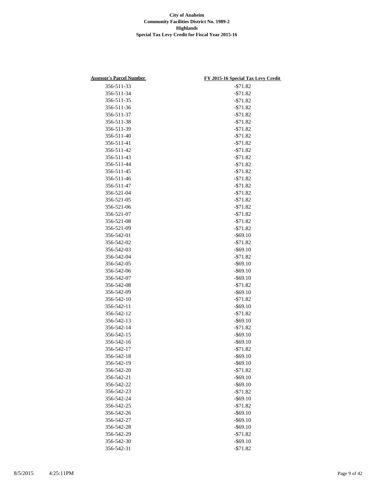| <b>Assessor's Parcel Number</b> | FY 2015-16 Special Tax Levy Credit |
|---------------------------------|------------------------------------|
| 356-511-33                      | $- $71.82$                         |
| 356-511-34                      | $- $71.82$                         |
| 356-511-35                      | $- $71.82$                         |
| 356-511-36                      | $- $71.82$                         |
| 356-511-37                      | $- $71.82$                         |
| 356-511-38                      | $- $71.82$                         |
| 356-511-39                      | $- $71.82$                         |
| 356-511-40                      | $-$71.82$                          |
| 356-511-41                      | $-$71.82$                          |
| 356-511-42                      | $- $71.82$                         |
| 356-511-43                      | $- $71.82$                         |
| 356-511-44                      | $- $71.82$                         |
| 356-511-45                      | $- $71.82$                         |
| 356-511-46                      | $- $71.82$                         |
| 356-511-47                      | $- $71.82$                         |
| 356-521-04                      | $- $71.82$                         |
| 356-521-05                      | $- $71.82$                         |
| 356-521-06                      | $- $71.82$                         |
| 356-521-07                      | $- $71.82$                         |
| 356-521-08                      | $- $71.82$                         |
|                                 | $-$71.82$                          |
| 356-521-09                      |                                    |
| 356-542-01                      | $-$ \$69.10                        |
| 356-542-02                      | $-$ \$71.82                        |
| 356-542-03                      | $-$ \$69.10                        |
| 356-542-04                      | $-571.82$                          |
| 356-542-05                      | $-$ \$69.10                        |
| 356-542-06                      | $-$ \$69.10                        |
| 356-542-07                      | $-$ \$69.10                        |
| 356-542-08                      | $- $71.82$                         |
| 356-542-09                      | $-$ \$69.10                        |
| 356-542-10                      | $- $71.82$                         |
| 356-542-11                      | $-$ \$69.10                        |
| 356-542-12                      | $- $71.82$                         |
| 356-542-13                      | $-$ \$69.10                        |
| 356-542-14                      | $-$ \$71.82                        |
| 356-542-15                      | $-$ \$69.10                        |
| 356-542-16                      | $-$ \$69.10                        |
| 356-542-17                      | $-571.82$                          |
| 356-542-18                      | $-$ \$69.10                        |
| 356-542-19                      | $-$ \$69.10                        |
| 356-542-20                      | $- $71.82$                         |
| 356-542-21                      | $-$ \$69.10                        |
| 356-542-22                      | $-$ \$69.10                        |
| 356-542-23                      | $- $71.82$                         |
| 356-542-24                      | $-$ \$69.10                        |
| 356-542-25                      | $- $71.82$                         |
| 356-542-26                      | $-$ \$69.10                        |
| 356-542-27                      | $-$ \$69.10                        |
| 356-542-28                      | $-$ \$69.10                        |
| 356-542-29                      | $- $71.82$                         |
| 356-542-30                      | $-$ \$69.10                        |
| 356-542-31                      | $- $71.82$                         |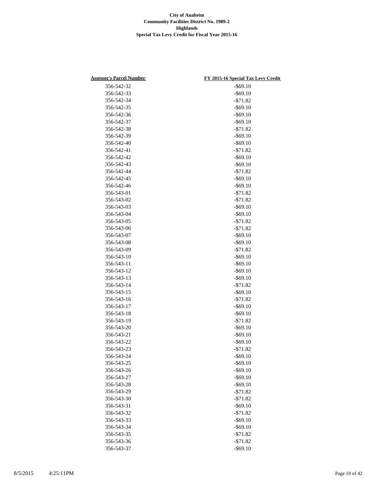| <b>Assessor's Parcel Number</b> | FY 2015-16 Special Tax Levy Credit |
|---------------------------------|------------------------------------|
| 356-542-32                      | $-$ \$69.10                        |
| 356-542-33                      | $-$ \$69.10                        |
| 356-542-34                      | $- $71.82$                         |
| 356-542-35                      | $-$ \$69.10                        |
| 356-542-36                      | $-$ \$69.10                        |
| 356-542-37                      | $-$ \$69.10                        |
| 356-542-38                      | $- $71.82$                         |
| 356-542-39                      | $-$ \$69.10                        |
| 356-542-40                      | $-$ \$69.10                        |
| 356-542-41                      | $- $71.82$                         |
| 356-542-42                      | $-$ \$69.10                        |
| 356-542-43                      | $-$ \$69.10                        |
| 356-542-44                      | $- $71.82$                         |
| 356-542-45                      | $-$ \$69.10                        |
| 356-542-46                      | $-$ \$69.10                        |
| 356-543-01                      | $- $71.82$                         |
| 356-543-02                      | $- $71.82$                         |
| 356-543-03                      | $-$ \$69.10                        |
| 356-543-04                      | $-$ \$69.10                        |
| 356-543-05                      | $- $71.82$                         |
|                                 |                                    |
| 356-543-06                      | $- $71.82$                         |
| 356-543-07                      | $-$ \$69.10                        |
| 356-543-08                      | $-$ \$69.10                        |
| 356-543-09                      | $- $71.82$                         |
| 356-543-10                      | $-$ \$69.10                        |
| 356-543-11                      | $-$ \$69.10                        |
| 356-543-12                      | $-$ \$69.10                        |
| 356-543-13                      | $-$ \$69.10                        |
| 356-543-14                      | $- $71.82$                         |
| 356-543-15                      | $-$ \$69.10                        |
| 356-543-16                      | $- $71.82$                         |
| 356-543-17                      | $-$ \$69.10                        |
| 356-543-18                      | $-$ \$69.10                        |
| 356-543-19                      | $-571.82$                          |
| 356-543-20                      | $-$ \$69.10                        |
| 356-543-21                      | $-$ \$69.10                        |
| 356-543-22                      | $-$ \$69.10                        |
| 356-543-23                      | $- $71.82$                         |
| 356-543-24                      | $-$ \$69.10                        |
| 356-543-25                      | $-$ \$69.10                        |
| 356-543-26                      | $-$ \$69.10                        |
| 356-543-27                      | $-$ \$69.10                        |
| 356-543-28                      | $-$ \$69.10                        |
| 356-543-29                      | $- $71.82$                         |
| 356-543-30                      | $- $71.82$                         |
| 356-543-31                      | $-$ \$69.10                        |
| 356-543-32                      | $- $71.82$                         |
| 356-543-33                      | $-$ \$69.10                        |
| 356-543-34                      | $-$ \$69.10                        |
| 356-543-35                      | $- $71.82$                         |
| 356-543-36                      | $- $71.82$                         |
| 356-543-37                      | $-$ \$69.10                        |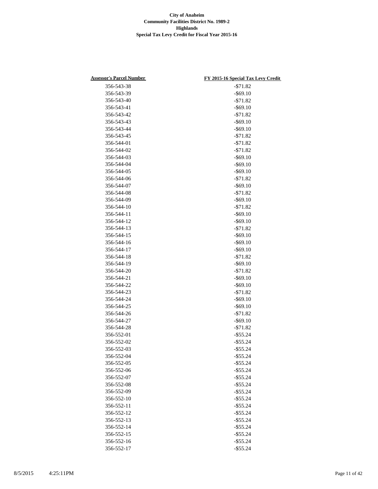| <b>Assessor's Parcel Number</b> | FY 2015-16 Special Tax Levy Credit |
|---------------------------------|------------------------------------|
| 356-543-38                      | $- $71.82$                         |
| 356-543-39                      | $-$ \$69.10                        |
| 356-543-40                      | $- $71.82$                         |
| 356-543-41                      | $-$ \$69.10                        |
| 356-543-42                      | $-571.82$                          |
| 356-543-43                      | $-$ \$69.10                        |
| 356-543-44                      | $-$ \$69.10                        |
| 356-543-45                      | $- $71.82$                         |
| 356-544-01                      | $- $71.82$                         |
| 356-544-02                      | $- $71.82$                         |
| 356-544-03                      | $-$ \$69.10                        |
| 356-544-04                      | $-$ \$69.10                        |
| 356-544-05                      | $-$ \$69.10                        |
| 356-544-06                      | $- $71.82$                         |
| 356-544-07                      | $-$ \$69.10                        |
| 356-544-08                      | $- $71.82$                         |
| 356-544-09                      | $-$ \$69.10                        |
| 356-544-10                      | $- $71.82$                         |
| 356-544-11                      | $-$ \$69.10                        |
| 356-544-12                      | $-$ \$69.10                        |
| 356-544-13                      | $- $71.82$                         |
| 356-544-15                      | $-$ \$69.10                        |
| 356-544-16                      | $-$ \$69.10                        |
| 356-544-17                      | $-$ \$69.10                        |
| 356-544-18                      | $- $71.82$                         |
| 356-544-19                      | $-$ \$69.10                        |
| 356-544-20                      | $- $71.82$                         |
| 356-544-21                      | $-$ \$69.10                        |
| 356-544-22                      | $-$ \$69.10                        |
| 356-544-23                      | $- $71.82$                         |
| 356-544-24                      | $-$ \$69.10                        |
| 356-544-25                      | $-$ \$69.10                        |
| 356-544-26                      | $- $71.82$                         |
| 356-544-27                      | $-$ \$69.10                        |
| 356-544-28                      | $- $71.82$                         |
| 356-552-01                      | $-$ \$55.24                        |
| 356-552-02                      | $-$ \$55.24                        |
| 356-552-03                      | $-$ \$55.24                        |
| 356-552-04                      | $-$ \$55.24                        |
| 356-552-05                      | $-$ \$55.24                        |
| 356-552-06                      | $-$ \$55.24                        |
| 356-552-07                      | $-$ \$55.24                        |
| 356-552-08                      | $-$ \$55.24                        |
| 356-552-09                      | $-$ \$55.24                        |
| 356-552-10                      | $-$ \$55.24                        |
| 356-552-11                      | $-$ \$55.24                        |
| 356-552-12                      | $-$ \$55.24                        |
| 356-552-13                      | $-$ \$55.24                        |
| 356-552-14                      | $-$ \$55.24                        |
| 356-552-15                      | $-$ \$55.24                        |
| 356-552-16                      | $-$ \$55.24                        |
| 356-552-17                      | $-$ \$55.24                        |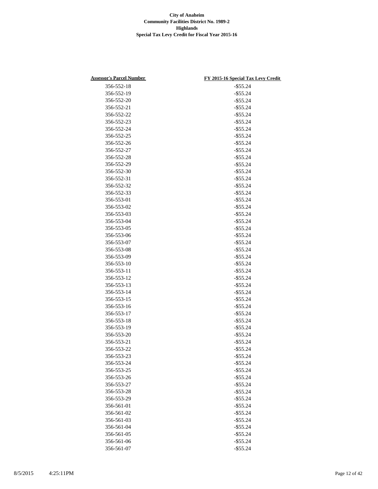| <b>Assessor's Parcel Number</b> | FY 2015-16 Special Tax Levy Credit |
|---------------------------------|------------------------------------|
| 356-552-18                      | $-$ \$55.24                        |
| 356-552-19                      | $-$ \$55.24                        |
| 356-552-20                      | $-$ \$55.24                        |
| 356-552-21                      | $-$ \$55.24                        |
| 356-552-22                      | $-$ \$55.24                        |
| 356-552-23                      | $-$ \$55.24                        |
| 356-552-24                      | $-$ \$55.24                        |
| 356-552-25                      | $-$ \$55.24                        |
| 356-552-26                      | $-$ \$55.24                        |
| 356-552-27                      | $-$ \$55.24                        |
| 356-552-28                      | $-$ \$55.24                        |
| 356-552-29                      | $-$ \$55.24                        |
| 356-552-30                      | $-$ \$55.24                        |
| 356-552-31                      | $-$ \$55.24                        |
| 356-552-32                      | $-$ \$55.24                        |
| 356-552-33                      | $-$ \$55.24                        |
| 356-553-01                      | $-$ \$55.24                        |
| 356-553-02                      | $-$ \$55.24                        |
| 356-553-03                      |                                    |
|                                 | $-$ \$55.24                        |
| 356-553-04                      | $-$ \$55.24                        |
| 356-553-05                      | $-$ \$55.24                        |
| 356-553-06                      | $-$ \$55.24                        |
| 356-553-07                      | $-$ \$55.24                        |
| 356-553-08                      | $-$ \$55.24                        |
| 356-553-09                      | $-$ \$55.24                        |
| 356-553-10                      | $-$ \$55.24                        |
| 356-553-11                      | $-$ \$55.24                        |
| 356-553-12                      | $-$ \$55.24                        |
| 356-553-13                      | $-$ \$55.24                        |
| 356-553-14                      | $-$ \$55.24                        |
| 356-553-15                      | $-$ \$55.24                        |
| 356-553-16                      | $-$ \$55.24                        |
| 356-553-17                      | $-$ \$55.24                        |
| 356-553-18                      | $-$ \$55.24                        |
| 356-553-19                      | $-$ \$55.24                        |
| 356-553-20                      | $-$ \$55.24                        |
| 356-553-21                      | $-$ \$55.24                        |
| 356-553-22                      | $-$ \$55.24                        |
| 356-553-23                      | $-$ \$55.24                        |
| 356-553-24                      | $-$ \$55.24                        |
| 356-553-25                      | $-$ \$55.24                        |
| 356-553-26                      | $-$ \$55.24                        |
| 356-553-27                      | $-$ \$55.24                        |
| 356-553-28                      | $-$ \$55.24                        |
| 356-553-29                      | $-$ \$55.24                        |
| 356-561-01                      | $-$ \$55.24                        |
| 356-561-02                      | $-$ \$55.24                        |
| 356-561-03                      | $-$ \$55.24                        |
| 356-561-04                      | $-$ \$55.24                        |
| 356-561-05                      | $-$ \$55.24                        |
| 356-561-06                      | $-$ \$55.24                        |
| 356-561-07                      | $-$ \$55.24                        |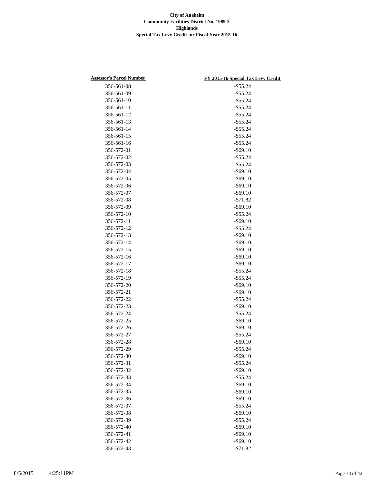| <b>Assessor's Parcel Number</b> | FY 2015-16 Special Tax Levy Credit |
|---------------------------------|------------------------------------|
| 356-561-08                      | $-$ \$55.24                        |
| 356-561-09                      | $-$ \$55.24                        |
| 356-561-10                      | $-$ \$55.24                        |
| 356-561-11                      | $-$ \$55.24                        |
| 356-561-12                      | $-$ \$55.24                        |
| 356-561-13                      | $-$ \$55.24                        |
| 356-561-14                      | $-$ \$55.24                        |
| 356-561-15                      | $-$ \$55.24                        |
| 356-561-16                      | $-$ \$55.24                        |
| 356-572-01                      | $-$ \$69.10                        |
| 356-572-02                      | $-$ \$55.24                        |
| 356-572-03                      | $-$ \$55.24                        |
| 356-572-04                      | $-$ \$69.10                        |
| 356-572-05                      | $-$ \$69.10                        |
| 356-572-06                      | $-$ \$69.10                        |
| 356-572-07                      | $-$ \$69.10                        |
| 356-572-08                      | $- $71.82$                         |
| 356-572-09                      | $-$ \$69.10                        |
| 356-572-10                      | $-$ \$55.24                        |
| 356-572-11                      | $-$ \$69.10                        |
| 356-572-12                      | $-$ \$55.24                        |
| 356-572-13                      | $-$ \$69.10                        |
| 356-572-14                      | $-$ \$69.10                        |
| 356-572-15                      | $-$ \$69.10                        |
| 356-572-16                      | $-$ \$69.10                        |
| 356-572-17                      | $-$ \$69.10                        |
| 356-572-18                      | $-$ \$55.24                        |
| 356-572-19                      | $-$ \$55.24                        |
| 356-572-20                      | $-$ \$69.10                        |
| 356-572-21                      | $-$ \$69.10                        |
| 356-572-22                      | $-$ \$55.24                        |
| 356-572-23                      | $-$ \$69.10                        |
| 356-572-24                      | $-$ \$55.24                        |
| 356-572-25                      | $-$ \$69.10                        |
| 356-572-26                      | $-$ \$69.10                        |
| 356-572-27                      | $-$ \$55.24                        |
| 356-572-28                      | $-$ \$69.10                        |
| 356-572-29                      | $-$ \$55.24                        |
| 356-572-30                      | $-$ \$69.10                        |
| 356-572-31                      | $-$ \$55.24                        |
| 356-572-32                      | $-$ \$69.10                        |
| 356-572-33                      | $-$ \$55.24                        |
| 356-572-34                      | $-$ \$69.10                        |
| 356-572-35                      | $-$ \$69.10                        |
| 356-572-36                      | $-$ \$69.10                        |
| 356-572-37                      | $-$ \$55.24                        |
| 356-572-38                      | $-$ \$69.10                        |
| 356-572-39                      | $-$ \$55.24                        |
| 356-572-40                      | $-$ \$69.10                        |
| 356-572-41                      | $-$ \$69.10                        |
| 356-572-42                      | $-$ \$69.10                        |
| 356-572-43                      | $- $71.82$                         |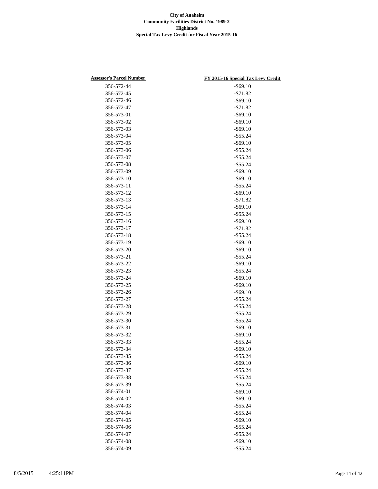| <b>Assessor's Parcel Number</b> | FY 2015-16 Special Tax Levy Credit |
|---------------------------------|------------------------------------|
| 356-572-44                      | $-$ \$69.10                        |
| 356-572-45                      | $- $71.82$                         |
| 356-572-46                      | $-$ \$69.10                        |
| 356-572-47                      | $- $71.82$                         |
| 356-573-01                      | $-$ \$69.10                        |
| 356-573-02                      | $-$ \$69.10                        |
| 356-573-03                      | $-$ \$69.10                        |
| 356-573-04                      | $-$ \$55.24                        |
| 356-573-05                      | $-$ \$69.10                        |
| 356-573-06                      | $-$ \$55.24                        |
| 356-573-07                      | $-$ \$55.24                        |
| 356-573-08                      | $-$ \$55.24                        |
| 356-573-09                      | $-$ \$69.10                        |
| 356-573-10                      | $-$ \$69.10                        |
| 356-573-11                      | $-$ \$55.24                        |
| 356-573-12                      | $-$ \$69.10                        |
| 356-573-13                      | $- $71.82$                         |
| 356-573-14                      | $-$ \$69.10                        |
| 356-573-15                      |                                    |
|                                 | $-$ \$55.24                        |
| 356-573-16                      | $-$ \$69.10                        |
| 356-573-17<br>356-573-18        | $-$71.82$                          |
|                                 | $-$ \$55.24                        |
| 356-573-19                      | $-$ \$69.10                        |
| 356-573-20                      | $-$ \$69.10                        |
| 356-573-21                      | $-$ \$55.24                        |
| 356-573-22                      | $-$ \$69.10                        |
| 356-573-23                      | $-$ \$55.24                        |
| 356-573-24                      | $-$ \$69.10                        |
| 356-573-25                      | $-$ \$69.10                        |
| 356-573-26                      | $-$ \$69.10                        |
| 356-573-27                      | $-$ \$55.24                        |
| 356-573-28                      | $-$ \$55.24                        |
| 356-573-29                      | $-$ \$55.24                        |
| 356-573-30                      | $-$ \$55.24                        |
| 356-573-31                      | $-$ \$69.10                        |
| 356-573-32                      | $-$ \$69.10                        |
| 356-573-33                      | $-$ \$55.24                        |
| 356-573-34                      | $-$ \$69.10                        |
| 356-573-35                      | $-$ \$55.24                        |
| 356-573-36                      | $-$ \$69.10                        |
| 356-573-37                      | $-$ \$55.24                        |
| 356-573-38                      | $-$ \$55.24                        |
| 356-573-39                      | $-$ \$55.24                        |
| 356-574-01                      | $-$ \$69.10                        |
| 356-574-02                      | $-$ \$69.10                        |
| 356-574-03                      | $-$ \$55.24                        |
| 356-574-04                      | $-$ \$55.24                        |
| 356-574-05                      | $-$ \$69.10                        |
| 356-574-06                      | $-$ \$55.24                        |
| 356-574-07                      | $-$ \$55.24                        |
| 356-574-08                      | $-$ \$69.10                        |
| 356-574-09                      | $-$ \$55.24                        |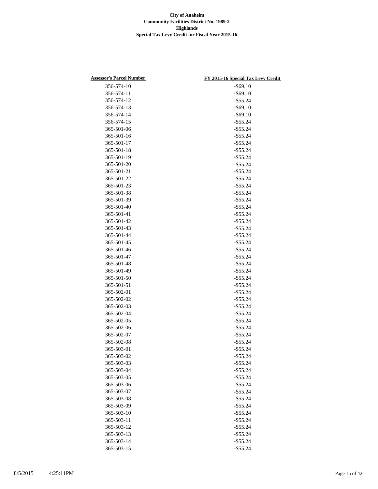| <b>Assessor's Parcel Number</b> | FY 2015-16 Special Tax Levy Credit |
|---------------------------------|------------------------------------|
| 356-574-10                      | $-$ \$69.10                        |
| 356-574-11                      | $-$ \$69.10                        |
| 356-574-12                      | $-$ \$55.24                        |
| 356-574-13                      | $-$ \$69.10                        |
| 356-574-14                      | $-$ \$69.10                        |
| 356-574-15                      | $-$ \$55.24                        |
| 365-501-06                      | $-$ \$55.24                        |
| 365-501-16                      | $-$ \$55.24                        |
| 365-501-17                      | $-$ \$55.24                        |
| 365-501-18                      | $-$ \$55.24                        |
| 365-501-19                      | $-$ \$55.24                        |
| 365-501-20                      | $-$ \$55.24                        |
| 365-501-21                      | $-$ \$55.24                        |
| 365-501-22                      | $-$ \$55.24                        |
| 365-501-23                      | $-$ \$55.24                        |
| 365-501-38                      | $-$ \$55.24                        |
| 365-501-39                      | $-$ \$55.24                        |
| 365-501-40                      | $-$ \$55.24                        |
| 365-501-41                      | $-$ \$55.24                        |
| 365-501-42                      | $-$ \$55.24                        |
| 365-501-43                      | $-$ \$55.24                        |
| 365-501-44                      | $-$ \$55.24                        |
| 365-501-45                      | $-$ \$55.24                        |
| 365-501-46                      | $-$ \$55.24                        |
| 365-501-47                      | $-$ \$55.24                        |
| 365-501-48                      | $-$ \$55.24                        |
| 365-501-49                      | $-$ \$55.24                        |
| 365-501-50                      | $-$ \$55.24                        |
| 365-501-51                      | $-$ \$55.24                        |
| 365-502-01                      | $-$ \$55.24                        |
| 365-502-02                      | $-$ \$55.24                        |
| 365-502-03                      | $-$ \$55.24                        |
| 365-502-04                      | $-$ \$55.24                        |
| 365-502-05                      | $-$ \$55.24                        |
| 365-502-06                      | $-$ \$55.24                        |
| 365-502-07                      | $-$ \$55.24                        |
| 365-502-08                      | $-$ \$55.24                        |
| 365-503-01                      | $-$ \$55.24                        |
| 365-503-02                      | $-$ \$55.24                        |
| 365-503-03                      | $-$ \$55.24                        |
| 365-503-04                      | $-$ \$55.24                        |
| 365-503-05                      | $-$ \$55.24                        |
| 365-503-06                      | $-$ \$55.24                        |
| 365-503-07                      | $-$ \$55.24                        |
| 365-503-08                      | $-$ \$55.24                        |
| 365-503-09                      |                                    |
| 365-503-10                      | $-$ \$55.24<br>$-$ \$55.24         |
| 365-503-11                      |                                    |
| 365-503-12                      | $-$ \$55.24                        |
|                                 | $-$ \$55.24                        |
| 365-503-13                      | $-$ \$55.24                        |
| 365-503-14                      | $-$ \$55.24                        |
| 365-503-15                      | $-$ \$55.24                        |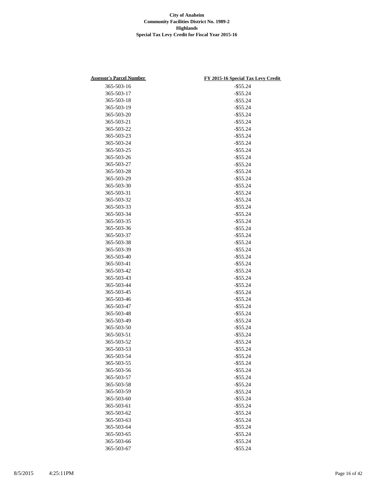| <b>Assessor's Parcel Number</b> | FY 2015-16 Special Tax Levy Credit |
|---------------------------------|------------------------------------|
| 365-503-16                      | $-$ \$55.24                        |
| 365-503-17                      | $-$ \$55.24                        |
| 365-503-18                      | $-$ \$55.24                        |
| 365-503-19                      | $-$ \$55.24                        |
| 365-503-20                      | $-$ \$55.24                        |
| 365-503-21                      | $-$ \$55.24                        |
| 365-503-22                      | $-$ \$55.24                        |
| 365-503-23                      | $-$ \$55.24                        |
| 365-503-24                      | $-$ \$55.24                        |
| 365-503-25                      | $-$ \$55.24                        |
| 365-503-26                      | $-$ \$55.24                        |
| 365-503-27                      | $-$ \$55.24                        |
| 365-503-28                      | $-$ \$55.24                        |
| 365-503-29                      | $-$ \$55.24                        |
| 365-503-30                      | $-$ \$55.24                        |
| 365-503-31                      | $-$ \$55.24                        |
| 365-503-32                      | $-$ \$55.24                        |
| 365-503-33                      | $-$ \$55.24                        |
| 365-503-34                      |                                    |
|                                 | $-$ \$55.24                        |
| 365-503-35                      | $-$ \$55.24                        |
| 365-503-36                      | $-$ \$55.24                        |
| 365-503-37                      | $-$ \$55.24                        |
| 365-503-38                      | $-$ \$55.24                        |
| 365-503-39                      | $-$ \$55.24                        |
| 365-503-40                      | $-$ \$55.24                        |
| 365-503-41                      | $-$ \$55.24                        |
| 365-503-42                      | $-$ \$55.24                        |
| 365-503-43                      | $-$ \$55.24                        |
| 365-503-44                      | $-$ \$55.24                        |
| 365-503-45                      | $-$ \$55.24                        |
| 365-503-46                      | $-$ \$55.24                        |
| 365-503-47                      | $-$ \$55.24                        |
| 365-503-48                      | $-$ \$55.24                        |
| 365-503-49                      | $-$ \$55.24                        |
| 365-503-50                      | $-$ \$55.24                        |
| 365-503-51                      | $-$ \$55.24                        |
| 365-503-52                      | $-$ \$55.24                        |
| 365-503-53                      | $-$ \$55.24                        |
| 365-503-54                      | $-$ \$55.24                        |
| 365-503-55                      | $-$ \$55.24                        |
| 365-503-56                      | $-$ \$55.24                        |
| 365-503-57                      | $-$ \$55.24                        |
| 365-503-58                      | $-$ \$55.24                        |
| 365-503-59                      | $-$ \$55.24                        |
| 365-503-60                      | $-$ \$55.24                        |
| 365-503-61                      | $-$ \$55.24                        |
| 365-503-62                      | $-$ \$55.24                        |
| 365-503-63                      | $-$ \$55.24                        |
| 365-503-64                      | $-$ \$55.24                        |
| 365-503-65                      | $-$ \$55.24                        |
| 365-503-66                      | $-$ \$55.24                        |
| 365-503-67                      | $-$ \$55.24                        |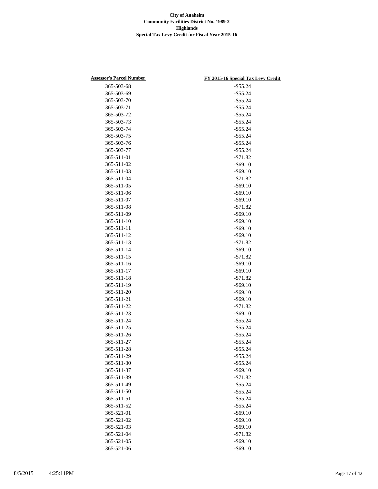| <b>Assessor's Parcel Number</b> | FY 2015-16 Special Tax Levy Credit |
|---------------------------------|------------------------------------|
| 365-503-68                      | $-$ \$55.24                        |
| 365-503-69                      | $-$ \$55.24                        |
| 365-503-70                      | $-$ \$55.24                        |
| 365-503-71                      | $-$ \$55.24                        |
| 365-503-72                      | $-$ \$55.24                        |
| 365-503-73                      | $-$ \$55.24                        |
| 365-503-74                      | $-$ \$55.24                        |
| 365-503-75                      | $-$ \$55.24                        |
| 365-503-76                      | $-$ \$55.24                        |
| 365-503-77                      | $-$ \$55.24                        |
| 365-511-01                      | $- $71.82$                         |
| 365-511-02                      | $-$ \$69.10                        |
| 365-511-03                      | $-$ \$69.10                        |
| 365-511-04                      | $-$71.82$                          |
| 365-511-05                      | $-$ \$69.10                        |
| 365-511-06                      | $-$ \$69.10                        |
| 365-511-07                      | $-$ \$69.10                        |
| 365-511-08                      | $- $71.82$                         |
| 365-511-09                      | $-$ \$69.10                        |
| 365-511-10                      | $-$ \$69.10                        |
| 365-511-11                      | $-$ \$69.10                        |
| 365-511-12                      | $-$ \$69.10                        |
| 365-511-13                      | $- $71.82$                         |
| 365-511-14                      | $-$ \$69.10                        |
| 365-511-15                      | $- $71.82$                         |
| 365-511-16                      | $-$ \$69.10                        |
| 365-511-17                      | $-$ \$69.10                        |
| 365-511-18                      | $- $71.82$                         |
| 365-511-19                      | $-$ \$69.10                        |
| 365-511-20                      | $-$ \$69.10                        |
| 365-511-21                      | $-$ \$69.10                        |
| 365-511-22                      | $- $71.82$                         |
| 365-511-23                      | $-$ \$69.10                        |
| 365-511-24                      | $-$ \$55.24                        |
| 365-511-25                      | $-$ \$55.24                        |
| 365-511-26                      | $-$ \$55.24                        |
| 365-511-27                      | $-$ \$55.24                        |
| 365-511-28                      | $-$ \$55.24                        |
| 365-511-29                      | $-$ \$55.24                        |
| 365-511-30                      |                                    |
| 365-511-37                      | $-$ \$55.24<br>$-$ \$69.10         |
|                                 |                                    |
| 365-511-39                      | $- $71.82$                         |
| 365-511-49                      | $-$ \$55.24                        |
| 365-511-50                      | $-$ \$55.24                        |
| 365-511-51                      | $-$ \$55.24                        |
| 365-511-52                      | $-$ \$55.24                        |
| 365-521-01                      | $-$ \$69.10                        |
| 365-521-02                      | $-$ \$69.10                        |
| 365-521-03                      | $-$ \$69.10                        |
| 365-521-04                      | $-$ \$71.82                        |
| 365-521-05                      | $-$ \$69.10                        |
| 365-521-06                      | $-$ \$69.10                        |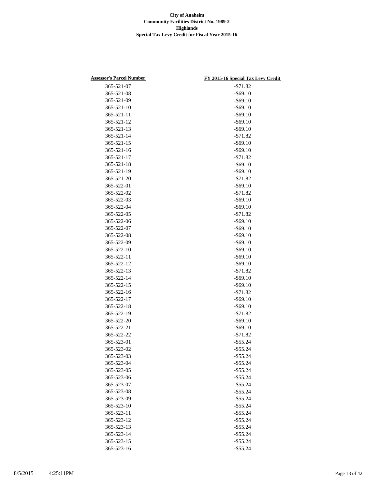| <b>Assessor's Parcel Number</b> | FY 2015-16 Special Tax Levy Credit |
|---------------------------------|------------------------------------|
| 365-521-07                      | $- $71.82$                         |
| 365-521-08                      | $-$ \$69.10                        |
| 365-521-09                      | $-$ \$69.10                        |
| 365-521-10                      | $-$ \$69.10                        |
| 365-521-11                      | $-$ \$69.10                        |
| 365-521-12                      | $-$ \$69.10                        |
| 365-521-13                      | $-$ \$69.10                        |
| 365-521-14                      | $- $71.82$                         |
| 365-521-15                      | $-$ \$69.10                        |
| 365-521-16                      | $-$ \$69.10                        |
| 365-521-17                      | $- $71.82$                         |
| 365-521-18                      | $-$ \$69.10                        |
| 365-521-19                      | $-$ \$69.10                        |
| 365-521-20                      | $- $71.82$                         |
| 365-522-01                      | $-$ \$69.10                        |
| 365-522-02                      | $- $71.82$                         |
| 365-522-03                      | $-$ \$69.10                        |
| 365-522-04                      | $-$ \$69.10                        |
| 365-522-05                      | $- $71.82$                         |
| 365-522-06                      | $-$ \$69.10                        |
| 365-522-07                      | $-$ \$69.10                        |
| 365-522-08                      | $-$ \$69.10                        |
| 365-522-09                      | $-$ \$69.10                        |
| 365-522-10                      | $-$ \$69.10                        |
| 365-522-11                      | $-$ \$69.10                        |
| 365-522-12                      | $-$ \$69.10                        |
| 365-522-13                      | $- $71.82$                         |
| 365-522-14                      | $-$ \$69.10                        |
| 365-522-15                      | $-$ \$69.10                        |
| 365-522-16                      | $- $71.82$                         |
| 365-522-17                      | $-$ \$69.10                        |
| 365-522-18                      | $-$ \$69.10                        |
| 365-522-19                      | $- $71.82$                         |
| 365-522-20                      | $-$ \$69.10                        |
| 365-522-21                      | $-$ \$69.10                        |
| 365-522-22                      | $- $71.82$                         |
| 365-523-01                      | $-$ \$55.24                        |
| 365-523-02                      | $-$ \$55.24                        |
| 365-523-03                      | $-$ \$55.24                        |
| 365-523-04                      | $-$ \$55.24                        |
| 365-523-05                      | $-$ \$55.24                        |
| 365-523-06                      | $-$ \$55.24                        |
| 365-523-07                      | $-$ \$55.24                        |
| 365-523-08                      | $-$ \$55.24                        |
| 365-523-09                      | $-$ \$55.24                        |
| 365-523-10                      | $-$ \$55.24                        |
| 365-523-11                      | $-$ \$55.24                        |
| 365-523-12                      | $-$ \$55.24                        |
| 365-523-13                      | $-$ \$55.24                        |
| 365-523-14                      | $-$ \$55.24                        |
| 365-523-15                      | $-$ \$55.24                        |
| 365-523-16                      | $-$ \$55.24                        |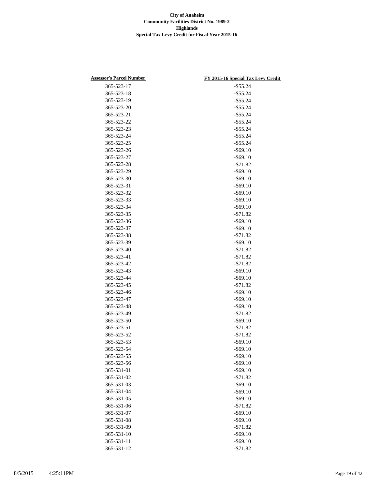| <b>Assessor's Parcel Number</b> | FY 2015-16 Special Tax Levy Credit |
|---------------------------------|------------------------------------|
| 365-523-17                      | $-$ \$55.24                        |
| 365-523-18                      | $-$ \$55.24                        |
| 365-523-19                      | $-$ \$55.24                        |
| 365-523-20                      | $-$ \$55.24                        |
| 365-523-21                      | $-$ \$55.24                        |
| 365-523-22                      | $-$ \$55.24                        |
| 365-523-23                      | $-$ \$55.24                        |
| 365-523-24                      | $-$ \$55.24                        |
| 365-523-25                      | $-$ \$55.24                        |
| 365-523-26                      | $-$ \$69.10                        |
| 365-523-27                      | $-$ \$69.10                        |
| 365-523-28                      | $- $71.82$                         |
| 365-523-29                      | $-$ \$69.10                        |
| 365-523-30                      | $-$ \$69.10                        |
| 365-523-31                      | $-$ \$69.10                        |
| 365-523-32                      | $-$ \$69.10                        |
| 365-523-33                      | $-$ \$69.10                        |
| 365-523-34                      | $-$ \$69.10                        |
| 365-523-35                      | $- $71.82$                         |
| 365-523-36                      | $-$ \$69.10                        |
| 365-523-37                      | $-$ \$69.10                        |
| 365-523-38                      | $- $71.82$                         |
| 365-523-39                      | $-$ \$69.10                        |
| 365-523-40                      | $- $71.82$                         |
| 365-523-41                      | $- $71.82$                         |
| 365-523-42                      | $- $71.82$                         |
| 365-523-43                      | $-$ \$69.10                        |
| 365-523-44                      | $-$ \$69.10                        |
| 365-523-45                      | $-571.82$                          |
| 365-523-46                      | $-$ \$69.10                        |
| 365-523-47                      | $-$ \$69.10                        |
| 365-523-48                      | $-$ \$69.10                        |
| 365-523-49                      | $-$71.82$                          |
| 365-523-50                      | $-$ \$69.10                        |
| 365-523-51                      | $-$ \$71.82                        |
| 365-523-52                      | $- $71.82$                         |
| 365-523-53                      | $-$ \$69.10                        |
| 365-523-54                      | $-$ \$69.10                        |
| 365-523-55                      | $-$ \$69.10                        |
| 365-523-56                      | $-$ \$69.10                        |
| 365-531-01                      | $-$ \$69.10                        |
| 365-531-02                      | $- $71.82$                         |
| 365-531-03                      | $-$ \$69.10                        |
| 365-531-04                      | $-$ \$69.10                        |
| 365-531-05                      | $-$ \$69.10                        |
| 365-531-06                      | $- $71.82$                         |
| 365-531-07                      | $-$ \$69.10                        |
| 365-531-08                      | $-$ \$69.10                        |
| 365-531-09                      | $-$71.82$                          |
| 365-531-10                      | $-$ \$69.10                        |
| 365-531-11                      | $-$ \$69.10                        |
| 365-531-12                      | $- $71.82$                         |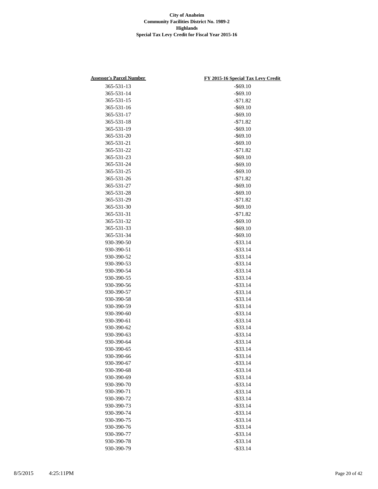| <b>Assessor's Parcel Number</b> | FY 2015-16 Special Tax Levy Credit |
|---------------------------------|------------------------------------|
| 365-531-13                      | $-$ \$69.10                        |
| 365-531-14                      | $-$ \$69.10                        |
| 365-531-15                      | $- $71.82$                         |
| 365-531-16                      | $-$ \$69.10                        |
| 365-531-17                      | $-$ \$69.10                        |
| 365-531-18                      | $- $71.82$                         |
| 365-531-19                      | $-$ \$69.10                        |
| 365-531-20                      | $-$ \$69.10                        |
| 365-531-21                      | $-$ \$69.10                        |
| 365-531-22                      | $- $71.82$                         |
| 365-531-23                      | $-$ \$69.10                        |
| 365-531-24                      | $-$ \$69.10                        |
| 365-531-25                      | $-$ \$69.10                        |
| 365-531-26                      | $- $71.82$                         |
| 365-531-27                      | $-$ \$69.10                        |
| 365-531-28                      | $-$ \$69.10                        |
| 365-531-29                      | $- $71.82$                         |
| 365-531-30                      | $-$ \$69.10                        |
| 365-531-31                      | $- $71.82$                         |
| 365-531-32                      | $-$ \$69.10                        |
| 365-531-33                      |                                    |
|                                 | $-$ \$69.10                        |
| 365-531-34                      | $-$ \$69.10                        |
| 930-390-50                      | $-$ \$33.14                        |
| 930-390-51                      | $-$ \$33.14                        |
| 930-390-52                      | $-$ \$33.14                        |
| 930-390-53                      | $-$ \$33.14                        |
| 930-390-54                      | $-$ \$33.14                        |
| 930-390-55                      | $-$ \$33.14                        |
| 930-390-56                      | $-$ \$33.14                        |
| 930-390-57                      | $-$ \$33.14                        |
| 930-390-58                      | $-$ \$33.14                        |
| 930-390-59                      | $-$ \$33.14                        |
| 930-390-60                      | $-$ \$33.14                        |
| 930-390-61                      | $-$ \$33.14                        |
| 930-390-62                      | $-$ \$33.14                        |
| 930-390-63                      | $-$ \$33.14                        |
| 930-390-64                      | $-$ \$33.14                        |
| 930-390-65                      | $-$ \$33.14                        |
| 930-390-66                      | $-$ \$33.14                        |
| 930-390-67                      | $-$ \$33.14                        |
| 930-390-68                      | $-$ \$33.14                        |
| 930-390-69                      | $-$ \$33.14                        |
| 930-390-70                      | $-$ \$33.14                        |
| 930-390-71                      | $-$ \$33.14                        |
| 930-390-72                      | $-$ \$33.14                        |
| 930-390-73                      | $-$ \$33.14                        |
| 930-390-74                      | $-$ \$33.14                        |
| 930-390-75                      | $-$ \$33.14                        |
| 930-390-76                      | $-$ \$33.14                        |
| 930-390-77                      | $-$ \$33.14                        |
| 930-390-78                      | $-$ \$33.14                        |
| 930-390-79                      | $-$ \$33.14                        |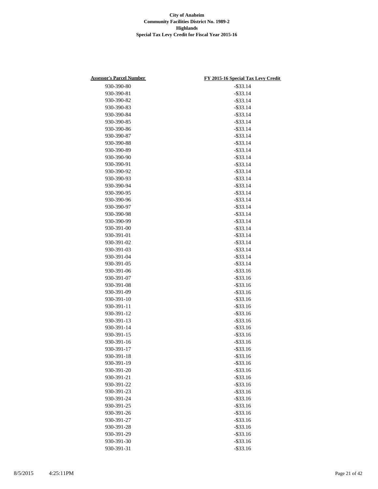| <b>Assessor's Parcel Number</b> | FY 2015-16 Special Tax Levy Credit |
|---------------------------------|------------------------------------|
| 930-390-80                      | $-$ \$33.14                        |
| 930-390-81                      | $-$ \$33.14                        |
| 930-390-82                      | $-$ \$33.14                        |
| 930-390-83                      | $-$ \$33.14                        |
| 930-390-84                      | $-$ \$33.14                        |
| 930-390-85                      | $-$ \$33.14                        |
| 930-390-86                      | $-$ \$33.14                        |
| 930-390-87                      | $-$ \$33.14                        |
| 930-390-88                      | $-$ \$33.14                        |
| 930-390-89                      | $-$ \$33.14                        |
| 930-390-90                      | $-$ \$33.14                        |
| 930-390-91                      | $-$ \$33.14                        |
| 930-390-92                      | $-$ \$33.14                        |
| 930-390-93                      | $-$ \$33.14                        |
| 930-390-94                      | $-$ \$33.14                        |
| 930-390-95                      | $-$ \$33.14                        |
| 930-390-96                      | $-$ \$33.14                        |
| 930-390-97                      | $-$ \$33.14                        |
| 930-390-98                      | $-$ \$33.14                        |
| 930-390-99                      | $-$ \$33.14                        |
| 930-391-00                      | $-$ \$33.14                        |
| 930-391-01                      | $-$ \$33.14                        |
| 930-391-02                      | $-$ \$33.14                        |
| 930-391-03                      | $-$ \$33.14                        |
| 930-391-04                      | $-$ \$33.14                        |
| 930-391-05                      | $-$ \$33.14                        |
| 930-391-06                      | $-$ \$33.16                        |
| 930-391-07                      | $-$ \$33.16                        |
| 930-391-08                      | $-$ \$33.16                        |
| 930-391-09                      | $-$ \$33.16                        |
| 930-391-10                      | $-$ \$33.16                        |
| 930-391-11                      | $-$ \$33.16                        |
| 930-391-12                      | $-$ \$33.16                        |
| 930-391-13                      | $-$ \$33.16                        |
| 930-391-14                      | $-$ \$33.16                        |
| 930-391-15                      | $-$ \$33.16                        |
| 930-391-16                      | $-$ \$33.16                        |
| 930-391-17                      | $-$ \$33.16                        |
| 930-391-18                      | $-$ \$33.16                        |
| 930-391-19                      | $-$ \$33.16                        |
| 930-391-20                      | $-$ \$33.16                        |
| 930-391-21                      | $-$ \$33.16                        |
| 930-391-22                      | $-$ \$33.16                        |
| 930-391-23                      | $-$ \$33.16                        |
| 930-391-24                      | $-$ \$33.16                        |
| 930-391-25                      | $-$ \$33.16                        |
| 930-391-26                      | $-$ \$33.16                        |
| 930-391-27                      | $-$ \$33.16                        |
| 930-391-28                      | $-$ \$33.16                        |
| 930-391-29                      | $-$ \$33.16                        |
| 930-391-30                      | $-$ \$33.16                        |
| 930-391-31                      | $-$ \$33.16                        |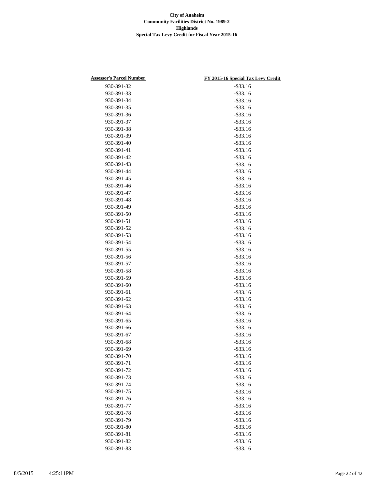| 930-391-32<br>$-$ \$33.16<br>930-391-33<br>$-$ \$33.16<br>930-391-34<br>$-$ \$33.16<br>930-391-35<br>$-$ \$33.16<br>930-391-36<br>$-$ \$33.16<br>$-$ \$33.16<br>930-391-37<br>$-$ \$33.16<br>930-391-38<br>$-$ \$33.16<br>930-391-39<br>930-391-40<br>$-$ \$33.16<br>930-391-41<br>$-$ \$33.16<br>930-391-42<br>$-$ \$33.16<br>$-$ \$33.16<br>930-391-43<br>930-391-44<br>$-$ \$33.16<br>$-$ \$33.16<br>930-391-45<br>930-391-46<br>$-$ \$33.16<br>930-391-47<br>$-$ \$33.16<br>930-391-48<br>$-$ \$33.16<br>$-$ \$33.16<br>930-391-49<br>$-$ \$33.16<br>930-391-50<br>$-$ \$33.16<br>930-391-51<br>930-391-52<br>$-$ \$33.16<br>930-391-53<br>$-$ \$33.16<br>930-391-54<br>$-$ \$33.16<br>$-$ \$33.16<br>930-391-55<br>$-$ \$33.16<br>930-391-56<br>$-$ \$33.16<br>930-391-57<br>930-391-58<br>$-$ \$33.16<br>930-391-59<br>$-$ \$33.16<br>930-391-60<br>$-$ \$33.16<br>$-$ \$33.16<br>930-391-61<br>930-391-62<br>$-$ \$33.16<br>930-391-63<br>$-$ \$33.16<br>930-391-64<br>$-$ \$33.16<br>930-391-65<br>$-$ \$33.16<br>930-391-66<br>$-$ \$33.16<br>930-391-67<br>$-$ \$33.16<br>930-391-68<br>$-$ \$33.16<br>930-391-69<br>$-$ \$33.16<br>930-391-70<br>$-$ \$33.16<br>930-391-71<br>$-$ \$33.16<br>930-391-72<br>$-$ \$33.16<br>930-391-73<br>$-$ \$33.16<br>930-391-74<br>$-$ \$33.16<br>930-391-75<br>$-$ \$33.16<br>930-391-76<br>$-$ \$33.16<br>930-391-77<br>$-$ \$33.16<br>$-$ \$33.16<br>930-391-78<br>930-391-79<br>$-$ \$33.16<br>930-391-80<br>$-$ \$33.16<br>930-391-81<br>$-$ \$33.16<br>930-391-82<br>$-$ \$33.16 | <b>Assessor's Parcel Number</b> | FY 2015-16 Special Tax Levy Credit |
|-------------------------------------------------------------------------------------------------------------------------------------------------------------------------------------------------------------------------------------------------------------------------------------------------------------------------------------------------------------------------------------------------------------------------------------------------------------------------------------------------------------------------------------------------------------------------------------------------------------------------------------------------------------------------------------------------------------------------------------------------------------------------------------------------------------------------------------------------------------------------------------------------------------------------------------------------------------------------------------------------------------------------------------------------------------------------------------------------------------------------------------------------------------------------------------------------------------------------------------------------------------------------------------------------------------------------------------------------------------------------------------------------------------------------------------------------------------------------------------------------------------------------------------|---------------------------------|------------------------------------|
|                                                                                                                                                                                                                                                                                                                                                                                                                                                                                                                                                                                                                                                                                                                                                                                                                                                                                                                                                                                                                                                                                                                                                                                                                                                                                                                                                                                                                                                                                                                                     |                                 |                                    |
|                                                                                                                                                                                                                                                                                                                                                                                                                                                                                                                                                                                                                                                                                                                                                                                                                                                                                                                                                                                                                                                                                                                                                                                                                                                                                                                                                                                                                                                                                                                                     |                                 |                                    |
|                                                                                                                                                                                                                                                                                                                                                                                                                                                                                                                                                                                                                                                                                                                                                                                                                                                                                                                                                                                                                                                                                                                                                                                                                                                                                                                                                                                                                                                                                                                                     |                                 |                                    |
|                                                                                                                                                                                                                                                                                                                                                                                                                                                                                                                                                                                                                                                                                                                                                                                                                                                                                                                                                                                                                                                                                                                                                                                                                                                                                                                                                                                                                                                                                                                                     |                                 |                                    |
|                                                                                                                                                                                                                                                                                                                                                                                                                                                                                                                                                                                                                                                                                                                                                                                                                                                                                                                                                                                                                                                                                                                                                                                                                                                                                                                                                                                                                                                                                                                                     |                                 |                                    |
|                                                                                                                                                                                                                                                                                                                                                                                                                                                                                                                                                                                                                                                                                                                                                                                                                                                                                                                                                                                                                                                                                                                                                                                                                                                                                                                                                                                                                                                                                                                                     |                                 |                                    |
|                                                                                                                                                                                                                                                                                                                                                                                                                                                                                                                                                                                                                                                                                                                                                                                                                                                                                                                                                                                                                                                                                                                                                                                                                                                                                                                                                                                                                                                                                                                                     |                                 |                                    |
|                                                                                                                                                                                                                                                                                                                                                                                                                                                                                                                                                                                                                                                                                                                                                                                                                                                                                                                                                                                                                                                                                                                                                                                                                                                                                                                                                                                                                                                                                                                                     |                                 |                                    |
|                                                                                                                                                                                                                                                                                                                                                                                                                                                                                                                                                                                                                                                                                                                                                                                                                                                                                                                                                                                                                                                                                                                                                                                                                                                                                                                                                                                                                                                                                                                                     |                                 |                                    |
|                                                                                                                                                                                                                                                                                                                                                                                                                                                                                                                                                                                                                                                                                                                                                                                                                                                                                                                                                                                                                                                                                                                                                                                                                                                                                                                                                                                                                                                                                                                                     |                                 |                                    |
|                                                                                                                                                                                                                                                                                                                                                                                                                                                                                                                                                                                                                                                                                                                                                                                                                                                                                                                                                                                                                                                                                                                                                                                                                                                                                                                                                                                                                                                                                                                                     |                                 |                                    |
|                                                                                                                                                                                                                                                                                                                                                                                                                                                                                                                                                                                                                                                                                                                                                                                                                                                                                                                                                                                                                                                                                                                                                                                                                                                                                                                                                                                                                                                                                                                                     |                                 |                                    |
|                                                                                                                                                                                                                                                                                                                                                                                                                                                                                                                                                                                                                                                                                                                                                                                                                                                                                                                                                                                                                                                                                                                                                                                                                                                                                                                                                                                                                                                                                                                                     |                                 |                                    |
|                                                                                                                                                                                                                                                                                                                                                                                                                                                                                                                                                                                                                                                                                                                                                                                                                                                                                                                                                                                                                                                                                                                                                                                                                                                                                                                                                                                                                                                                                                                                     |                                 |                                    |
|                                                                                                                                                                                                                                                                                                                                                                                                                                                                                                                                                                                                                                                                                                                                                                                                                                                                                                                                                                                                                                                                                                                                                                                                                                                                                                                                                                                                                                                                                                                                     |                                 |                                    |
|                                                                                                                                                                                                                                                                                                                                                                                                                                                                                                                                                                                                                                                                                                                                                                                                                                                                                                                                                                                                                                                                                                                                                                                                                                                                                                                                                                                                                                                                                                                                     |                                 |                                    |
|                                                                                                                                                                                                                                                                                                                                                                                                                                                                                                                                                                                                                                                                                                                                                                                                                                                                                                                                                                                                                                                                                                                                                                                                                                                                                                                                                                                                                                                                                                                                     |                                 |                                    |
|                                                                                                                                                                                                                                                                                                                                                                                                                                                                                                                                                                                                                                                                                                                                                                                                                                                                                                                                                                                                                                                                                                                                                                                                                                                                                                                                                                                                                                                                                                                                     |                                 |                                    |
|                                                                                                                                                                                                                                                                                                                                                                                                                                                                                                                                                                                                                                                                                                                                                                                                                                                                                                                                                                                                                                                                                                                                                                                                                                                                                                                                                                                                                                                                                                                                     |                                 |                                    |
|                                                                                                                                                                                                                                                                                                                                                                                                                                                                                                                                                                                                                                                                                                                                                                                                                                                                                                                                                                                                                                                                                                                                                                                                                                                                                                                                                                                                                                                                                                                                     |                                 |                                    |
|                                                                                                                                                                                                                                                                                                                                                                                                                                                                                                                                                                                                                                                                                                                                                                                                                                                                                                                                                                                                                                                                                                                                                                                                                                                                                                                                                                                                                                                                                                                                     |                                 |                                    |
|                                                                                                                                                                                                                                                                                                                                                                                                                                                                                                                                                                                                                                                                                                                                                                                                                                                                                                                                                                                                                                                                                                                                                                                                                                                                                                                                                                                                                                                                                                                                     |                                 |                                    |
|                                                                                                                                                                                                                                                                                                                                                                                                                                                                                                                                                                                                                                                                                                                                                                                                                                                                                                                                                                                                                                                                                                                                                                                                                                                                                                                                                                                                                                                                                                                                     |                                 |                                    |
|                                                                                                                                                                                                                                                                                                                                                                                                                                                                                                                                                                                                                                                                                                                                                                                                                                                                                                                                                                                                                                                                                                                                                                                                                                                                                                                                                                                                                                                                                                                                     |                                 |                                    |
|                                                                                                                                                                                                                                                                                                                                                                                                                                                                                                                                                                                                                                                                                                                                                                                                                                                                                                                                                                                                                                                                                                                                                                                                                                                                                                                                                                                                                                                                                                                                     |                                 |                                    |
|                                                                                                                                                                                                                                                                                                                                                                                                                                                                                                                                                                                                                                                                                                                                                                                                                                                                                                                                                                                                                                                                                                                                                                                                                                                                                                                                                                                                                                                                                                                                     |                                 |                                    |
|                                                                                                                                                                                                                                                                                                                                                                                                                                                                                                                                                                                                                                                                                                                                                                                                                                                                                                                                                                                                                                                                                                                                                                                                                                                                                                                                                                                                                                                                                                                                     |                                 |                                    |
|                                                                                                                                                                                                                                                                                                                                                                                                                                                                                                                                                                                                                                                                                                                                                                                                                                                                                                                                                                                                                                                                                                                                                                                                                                                                                                                                                                                                                                                                                                                                     |                                 |                                    |
|                                                                                                                                                                                                                                                                                                                                                                                                                                                                                                                                                                                                                                                                                                                                                                                                                                                                                                                                                                                                                                                                                                                                                                                                                                                                                                                                                                                                                                                                                                                                     |                                 |                                    |
|                                                                                                                                                                                                                                                                                                                                                                                                                                                                                                                                                                                                                                                                                                                                                                                                                                                                                                                                                                                                                                                                                                                                                                                                                                                                                                                                                                                                                                                                                                                                     |                                 |                                    |
|                                                                                                                                                                                                                                                                                                                                                                                                                                                                                                                                                                                                                                                                                                                                                                                                                                                                                                                                                                                                                                                                                                                                                                                                                                                                                                                                                                                                                                                                                                                                     |                                 |                                    |
|                                                                                                                                                                                                                                                                                                                                                                                                                                                                                                                                                                                                                                                                                                                                                                                                                                                                                                                                                                                                                                                                                                                                                                                                                                                                                                                                                                                                                                                                                                                                     |                                 |                                    |
|                                                                                                                                                                                                                                                                                                                                                                                                                                                                                                                                                                                                                                                                                                                                                                                                                                                                                                                                                                                                                                                                                                                                                                                                                                                                                                                                                                                                                                                                                                                                     |                                 |                                    |
|                                                                                                                                                                                                                                                                                                                                                                                                                                                                                                                                                                                                                                                                                                                                                                                                                                                                                                                                                                                                                                                                                                                                                                                                                                                                                                                                                                                                                                                                                                                                     |                                 |                                    |
|                                                                                                                                                                                                                                                                                                                                                                                                                                                                                                                                                                                                                                                                                                                                                                                                                                                                                                                                                                                                                                                                                                                                                                                                                                                                                                                                                                                                                                                                                                                                     |                                 |                                    |
|                                                                                                                                                                                                                                                                                                                                                                                                                                                                                                                                                                                                                                                                                                                                                                                                                                                                                                                                                                                                                                                                                                                                                                                                                                                                                                                                                                                                                                                                                                                                     |                                 |                                    |
|                                                                                                                                                                                                                                                                                                                                                                                                                                                                                                                                                                                                                                                                                                                                                                                                                                                                                                                                                                                                                                                                                                                                                                                                                                                                                                                                                                                                                                                                                                                                     |                                 |                                    |
|                                                                                                                                                                                                                                                                                                                                                                                                                                                                                                                                                                                                                                                                                                                                                                                                                                                                                                                                                                                                                                                                                                                                                                                                                                                                                                                                                                                                                                                                                                                                     |                                 |                                    |
|                                                                                                                                                                                                                                                                                                                                                                                                                                                                                                                                                                                                                                                                                                                                                                                                                                                                                                                                                                                                                                                                                                                                                                                                                                                                                                                                                                                                                                                                                                                                     |                                 |                                    |
|                                                                                                                                                                                                                                                                                                                                                                                                                                                                                                                                                                                                                                                                                                                                                                                                                                                                                                                                                                                                                                                                                                                                                                                                                                                                                                                                                                                                                                                                                                                                     |                                 |                                    |
|                                                                                                                                                                                                                                                                                                                                                                                                                                                                                                                                                                                                                                                                                                                                                                                                                                                                                                                                                                                                                                                                                                                                                                                                                                                                                                                                                                                                                                                                                                                                     |                                 |                                    |
|                                                                                                                                                                                                                                                                                                                                                                                                                                                                                                                                                                                                                                                                                                                                                                                                                                                                                                                                                                                                                                                                                                                                                                                                                                                                                                                                                                                                                                                                                                                                     |                                 |                                    |
|                                                                                                                                                                                                                                                                                                                                                                                                                                                                                                                                                                                                                                                                                                                                                                                                                                                                                                                                                                                                                                                                                                                                                                                                                                                                                                                                                                                                                                                                                                                                     |                                 |                                    |
|                                                                                                                                                                                                                                                                                                                                                                                                                                                                                                                                                                                                                                                                                                                                                                                                                                                                                                                                                                                                                                                                                                                                                                                                                                                                                                                                                                                                                                                                                                                                     |                                 |                                    |
|                                                                                                                                                                                                                                                                                                                                                                                                                                                                                                                                                                                                                                                                                                                                                                                                                                                                                                                                                                                                                                                                                                                                                                                                                                                                                                                                                                                                                                                                                                                                     |                                 |                                    |
|                                                                                                                                                                                                                                                                                                                                                                                                                                                                                                                                                                                                                                                                                                                                                                                                                                                                                                                                                                                                                                                                                                                                                                                                                                                                                                                                                                                                                                                                                                                                     |                                 |                                    |
|                                                                                                                                                                                                                                                                                                                                                                                                                                                                                                                                                                                                                                                                                                                                                                                                                                                                                                                                                                                                                                                                                                                                                                                                                                                                                                                                                                                                                                                                                                                                     |                                 |                                    |
|                                                                                                                                                                                                                                                                                                                                                                                                                                                                                                                                                                                                                                                                                                                                                                                                                                                                                                                                                                                                                                                                                                                                                                                                                                                                                                                                                                                                                                                                                                                                     |                                 |                                    |
|                                                                                                                                                                                                                                                                                                                                                                                                                                                                                                                                                                                                                                                                                                                                                                                                                                                                                                                                                                                                                                                                                                                                                                                                                                                                                                                                                                                                                                                                                                                                     |                                 |                                    |
|                                                                                                                                                                                                                                                                                                                                                                                                                                                                                                                                                                                                                                                                                                                                                                                                                                                                                                                                                                                                                                                                                                                                                                                                                                                                                                                                                                                                                                                                                                                                     |                                 |                                    |
|                                                                                                                                                                                                                                                                                                                                                                                                                                                                                                                                                                                                                                                                                                                                                                                                                                                                                                                                                                                                                                                                                                                                                                                                                                                                                                                                                                                                                                                                                                                                     |                                 |                                    |
|                                                                                                                                                                                                                                                                                                                                                                                                                                                                                                                                                                                                                                                                                                                                                                                                                                                                                                                                                                                                                                                                                                                                                                                                                                                                                                                                                                                                                                                                                                                                     | 930-391-83                      | $-$ \$33.16                        |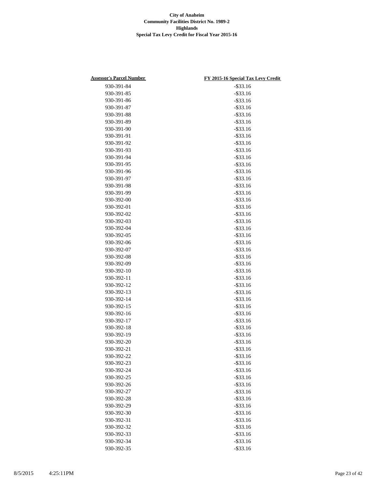| <b>Assessor's Parcel Number</b> | FY 2015-16 Special Tax Levy Credit |
|---------------------------------|------------------------------------|
| 930-391-84                      | $-$ \$33.16                        |
| 930-391-85                      | $-$ \$33.16                        |
| 930-391-86                      | $-$ \$33.16                        |
| 930-391-87                      | $-$ \$33.16                        |
| 930-391-88                      | $-$ \$33.16                        |
| 930-391-89                      | $-$ \$33.16                        |
| 930-391-90                      | $-$ \$33.16                        |
| 930-391-91                      | $-$ \$33.16                        |
| 930-391-92                      | $-$ \$33.16                        |
| 930-391-93                      | $-$ \$33.16                        |
| 930-391-94                      | $-$ \$33.16                        |
| 930-391-95                      | $-$ \$33.16                        |
| 930-391-96                      | $-$ \$33.16                        |
| 930-391-97                      | $-$ \$33.16                        |
| 930-391-98                      | $-$ \$33.16                        |
| 930-391-99                      | $-$ \$33.16                        |
| 930-392-00                      | $-$ \$33.16                        |
| 930-392-01                      | $-$ \$33.16                        |
| 930-392-02                      | $-$ \$33.16                        |
|                                 | $-$ \$33.16                        |
| 930-392-03<br>930-392-04        |                                    |
|                                 | $-$ \$33.16                        |
| 930-392-05                      | $-$ \$33.16                        |
| 930-392-06                      | $-$ \$33.16                        |
| 930-392-07                      | $-$ \$33.16                        |
| 930-392-08                      | $-$ \$33.16                        |
| 930-392-09                      | $-$ \$33.16                        |
| 930-392-10                      | $-$ \$33.16                        |
| 930-392-11                      | $-$ \$33.16                        |
| 930-392-12                      | $-$ \$33.16                        |
| 930-392-13                      | $-$ \$33.16                        |
| 930-392-14                      | $-$ \$33.16                        |
| 930-392-15                      | $-$ \$33.16                        |
| 930-392-16                      | $-$ \$33.16                        |
| 930-392-17                      | $-$ \$33.16                        |
| 930-392-18                      | $-$ \$33.16                        |
| 930-392-19                      | $-$ \$33.16                        |
| 930-392-20                      | $-$ \$33.16                        |
| 930-392-21                      | $-$ \$33.16                        |
| 930-392-22                      | $-$ \$33.16                        |
| 930-392-23                      | $-$ \$33.16                        |
| 930-392-24                      | $-$ \$33.16                        |
| 930-392-25                      | $-$ \$33.16                        |
| 930-392-26                      | $-$ \$33.16                        |
| 930-392-27                      | $-$ \$33.16                        |
| 930-392-28                      | $-$ \$33.16                        |
| 930-392-29                      | $-$ \$33.16                        |
| 930-392-30                      | $-$ \$33.16                        |
| 930-392-31                      | $-$ \$33.16                        |
| 930-392-32                      | $-$ \$33.16                        |
| 930-392-33                      | $-$ \$33.16                        |
| 930-392-34                      | $-$ \$33.16                        |
| 930-392-35                      | $-$ \$33.16                        |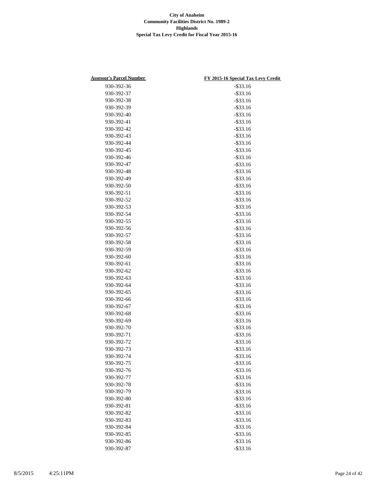| <b>Assessor's Parcel Number</b> | FY 2015-16 Special Tax Levy Credit |
|---------------------------------|------------------------------------|
| 930-392-36                      | $-$ \$33.16                        |
| 930-392-37                      | $-$ \$33.16                        |
| 930-392-38                      | $-$ \$33.16                        |
| 930-392-39                      | $-$ \$33.16                        |
| 930-392-40                      | $-$ \$33.16                        |
| 930-392-41                      | $-$ \$33.16                        |
| 930-392-42                      | $-$ \$33.16                        |
| 930-392-43                      | $-$ \$33.16                        |
| 930-392-44                      | $-$ \$33.16                        |
| 930-392-45                      | $-$ \$33.16                        |
| 930-392-46                      | $-$ \$33.16                        |
| 930-392-47                      | $-$ \$33.16                        |
| 930-392-48                      | $-$ \$33.16                        |
| 930-392-49                      | $-$ \$33.16                        |
| 930-392-50                      | $-$ \$33.16                        |
| 930-392-51                      | $-$ \$33.16                        |
| 930-392-52                      | $-$ \$33.16                        |
| 930-392-53                      | $-$ \$33.16                        |
|                                 | $-$ \$33.16                        |
| 930-392-54<br>930-392-55        | $-$ \$33.16                        |
|                                 |                                    |
| 930-392-56                      | $-$ \$33.16                        |
| 930-392-57                      | $-$ \$33.16                        |
| 930-392-58                      | $-$ \$33.16                        |
| 930-392-59                      | $-$ \$33.16                        |
| 930-392-60                      | $-$ \$33.16                        |
| 930-392-61                      | $-$ \$33.16                        |
| 930-392-62                      | $-$ \$33.16                        |
| 930-392-63                      | $-$ \$33.16                        |
| 930-392-64                      | $-$ \$33.16                        |
| 930-392-65                      | $-$ \$33.16                        |
| 930-392-66                      | $-$ \$33.16                        |
| 930-392-67                      | $-$ \$33.16                        |
| 930-392-68                      | $-$ \$33.16                        |
| 930-392-69                      | $-$ \$33.16                        |
| 930-392-70                      | $-$ \$33.16                        |
| 930-392-71                      | $-$ \$33.16                        |
| 930-392-72                      | $-$ \$33.16                        |
| 930-392-73                      | $-$ \$33.16                        |
| 930-392-74                      | $-$ \$33.16                        |
| 930-392-75                      | $-$ \$33.16                        |
| 930-392-76                      | $-$ \$33.16                        |
| 930-392-77                      | $-$ \$33.16                        |
| 930-392-78                      | $-$ \$33.16                        |
| 930-392-79                      | $-$ \$33.16                        |
| 930-392-80                      | $-$ \$33.16                        |
| 930-392-81                      | $-$ \$33.16                        |
| 930-392-82                      | $-$ \$33.16                        |
| 930-392-83                      | $-$ \$33.16                        |
| 930-392-84                      | $-$ \$33.16                        |
| 930-392-85                      | $-$ \$33.16                        |
| 930-392-86                      | $-$ \$33.16                        |
| 930-392-87                      | $-$ \$33.16                        |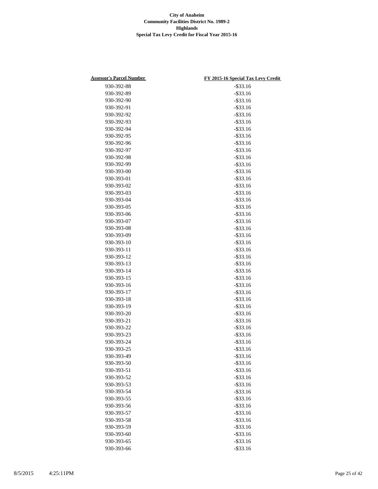| <b>Assessor's Parcel Number</b> | FY 2015-16 Special Tax Levy Credit |
|---------------------------------|------------------------------------|
| 930-392-88                      | $-$ \$33.16                        |
| 930-392-89                      | $-$ \$33.16                        |
| 930-392-90                      | $-$ \$33.16                        |
| 930-392-91                      | $-$ \$33.16                        |
| 930-392-92                      | $-$ \$33.16                        |
| 930-392-93                      | $-$ \$33.16                        |
| 930-392-94                      | $-$ \$33.16                        |
| 930-392-95                      | $-$ \$33.16                        |
| 930-392-96                      | $-$ \$33.16                        |
| 930-392-97                      | $-$ \$33.16                        |
| 930-392-98                      | $-$ \$33.16                        |
| 930-392-99                      | $-$ \$33.16                        |
| 930-393-00                      | $-$ \$33.16                        |
| 930-393-01                      | $-$ \$33.16                        |
| 930-393-02                      | $-$ \$33.16                        |
| 930-393-03                      | $-$ \$33.16                        |
| 930-393-04                      | $-$ \$33.16                        |
| 930-393-05                      | $-$ \$33.16                        |
| 930-393-06                      | $-$ \$33.16                        |
| 930-393-07                      | $-$ \$33.16                        |
|                                 |                                    |
| 930-393-08                      | $-$ \$33.16                        |
| 930-393-09                      | $-$ \$33.16                        |
| 930-393-10                      | $-$ \$33.16                        |
| 930-393-11                      | $-$ \$33.16                        |
| 930-393-12                      | $-$ \$33.16                        |
| 930-393-13                      | $-$ \$33.16                        |
| 930-393-14                      | $-$ \$33.16                        |
| 930-393-15                      | $-$ \$33.16                        |
| 930-393-16                      | $-$ \$33.16                        |
| 930-393-17                      | $-$ \$33.16                        |
| 930-393-18                      | $-$ \$33.16                        |
| 930-393-19                      | $-$ \$33.16                        |
| 930-393-20                      | $-$ \$33.16                        |
| 930-393-21                      | $-$ \$33.16                        |
| 930-393-22                      | $-$ \$33.16                        |
| 930-393-23                      | $-$ \$33.16                        |
| 930-393-24                      | $-$ \$33.16                        |
| 930-393-25                      | $-$ \$33.16                        |
| 930-393-49                      | $-$ \$33.16                        |
| 930-393-50                      | $-$ \$33.16                        |
| 930-393-51                      | $-$ \$33.16                        |
| 930-393-52                      | $-$ \$33.16                        |
| 930-393-53                      | $-$ \$33.16                        |
| 930-393-54                      | $-$ \$33.16                        |
| 930-393-55                      | $-$ \$33.16                        |
| 930-393-56                      | $-$ \$33.16                        |
| 930-393-57                      | $-$ \$33.16                        |
| 930-393-58                      | $-$ \$33.16                        |
| 930-393-59                      | $-$ \$33.16                        |
| 930-393-60                      | $-$ \$33.16                        |
| 930-393-65                      | $-$ \$33.16                        |
| 930-393-66                      | $-$ \$33.16                        |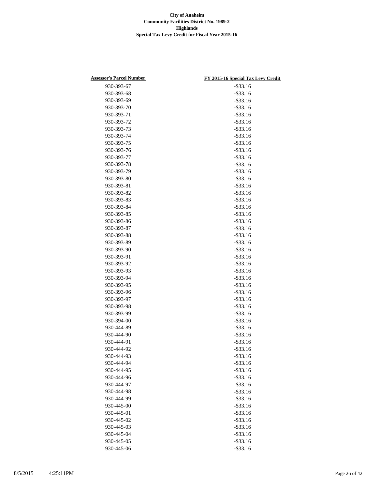| <b>Assessor's Parcel Number</b> | FY 2015-16 Special Tax Levy Credit |
|---------------------------------|------------------------------------|
| 930-393-67                      | $-$ \$33.16                        |
| 930-393-68                      | $-$ \$33.16                        |
| 930-393-69                      | $-$ \$33.16                        |
| 930-393-70                      | $-$ \$33.16                        |
| 930-393-71                      | $-$ \$33.16                        |
| 930-393-72                      | $-$ \$33.16                        |
| 930-393-73                      | $-$ \$33.16                        |
| 930-393-74                      | $-$ \$33.16                        |
| 930-393-75                      | $-$ \$33.16                        |
| 930-393-76                      | $-$ \$33.16                        |
| 930-393-77                      | $-$ \$33.16                        |
| 930-393-78                      | $-$ \$33.16                        |
| 930-393-79                      | $-$ \$33.16                        |
| 930-393-80                      | $-$ \$33.16                        |
| 930-393-81                      | $-$ \$33.16                        |
| 930-393-82                      | $-$ \$33.16                        |
| 930-393-83                      | $-$ \$33.16                        |
| 930-393-84                      | $-$ \$33.16                        |
| 930-393-85                      | $-$ \$33.16                        |
| 930-393-86                      | $-$ \$33.16                        |
| 930-393-87                      | $-$ \$33.16                        |
| 930-393-88                      | $-$ \$33.16                        |
| 930-393-89                      | $-$ \$33.16                        |
| 930-393-90                      | $-$ \$33.16                        |
| 930-393-91                      | $-$ \$33.16                        |
| 930-393-92                      | $-$ \$33.16                        |
| 930-393-93                      | $-$ \$33.16                        |
| 930-393-94                      | $-$ \$33.16                        |
| 930-393-95                      | $-$ \$33.16                        |
| 930-393-96                      | $-$ \$33.16                        |
| 930-393-97                      | $-$ \$33.16                        |
| 930-393-98                      | $-$ \$33.16                        |
| 930-393-99                      | $-$ \$33.16                        |
| 930-394-00                      | $-$ \$33.16                        |
| 930-444-89                      | $-$ \$33.16                        |
| 930-444-90                      | $-$ \$33.16                        |
| 930-444-91                      | $-$ \$33.16                        |
| 930-444-92                      | $-$ \$33.16                        |
| 930-444-93                      | $-$ \$33.16                        |
| 930-444-94                      | $-$ \$33.16                        |
| 930-444-95                      | $-$ \$33.16                        |
| 930-444-96                      | $-$ \$33.16                        |
| 930-444-97                      | $-$ \$33.16                        |
| 930-444-98                      | $-$ \$33.16                        |
| 930-444-99                      | $-$ \$33.16                        |
| 930-445-00                      | $-$ \$33.16                        |
| 930-445-01                      | $-$ \$33.16                        |
| 930-445-02                      | $-$ \$33.16                        |
| 930-445-03                      | $-$ \$33.16                        |
| 930-445-04                      | $-$ \$33.16                        |
| 930-445-05                      | $-$ \$33.16                        |
| 930-445-06                      | $-$ \$33.16                        |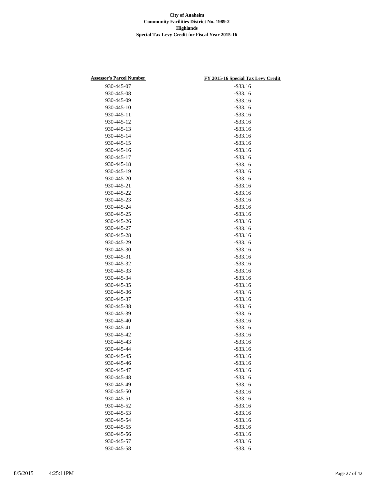| <b>Assessor's Parcel Number</b> | FY 2015-16 Special Tax Levy Credit |
|---------------------------------|------------------------------------|
| 930-445-07                      | $-$ \$33.16                        |
| 930-445-08                      | $-$ \$33.16                        |
| 930-445-09                      | $-$ \$33.16                        |
| 930-445-10                      | $-$ \$33.16                        |
| 930-445-11                      | $-$ \$33.16                        |
| 930-445-12                      | $-$ \$33.16                        |
| 930-445-13                      | $-$ \$33.16                        |
| 930-445-14                      | $-$ \$33.16                        |
| 930-445-15                      | $-$ \$33.16                        |
| 930-445-16                      | $-$ \$33.16                        |
| 930-445-17                      | $-$ \$33.16                        |
| 930-445-18                      | $-$ \$33.16                        |
| 930-445-19                      | $-$ \$33.16                        |
| 930-445-20                      | $-$ \$33.16                        |
| 930-445-21                      | $-$ \$33.16                        |
| 930-445-22                      | $-$ \$33.16                        |
| 930-445-23                      | $-$ \$33.16                        |
| 930-445-24                      | $-$ \$33.16                        |
| 930-445-25                      | $-$ \$33.16                        |
| 930-445-26                      |                                    |
| 930-445-27                      | $-$ \$33.16                        |
|                                 | $-$ \$33.16                        |
| 930-445-28                      | $-$ \$33.16                        |
| 930-445-29                      | $-$ \$33.16                        |
| 930-445-30                      | $-$ \$33.16                        |
| 930-445-31                      | $-$ \$33.16                        |
| 930-445-32                      | $-$ \$33.16                        |
| 930-445-33                      | $-$ \$33.16                        |
| 930-445-34                      | $-$ \$33.16                        |
| 930-445-35                      | $-$ \$33.16                        |
| 930-445-36                      | $-$ \$33.16                        |
| 930-445-37                      | $-$ \$33.16                        |
| 930-445-38                      | $-$ \$33.16                        |
| 930-445-39                      | $-$ \$33.16                        |
| 930-445-40                      | $-$ \$33.16                        |
| 930-445-41                      | $-$ \$33.16                        |
| 930-445-42                      | $-$ \$33.16                        |
| 930-445-43                      | $-$ \$33.16                        |
| 930-445-44                      | $-$ \$33.16                        |
| 930-445-45                      | $-$ \$33.16                        |
| 930-445-46                      | $-$ \$33.16                        |
| 930-445-47                      | $-$ \$33.16                        |
| 930-445-48                      | $-$ \$33.16                        |
| 930-445-49                      | $-$ \$33.16                        |
| 930-445-50                      | $-$ \$33.16                        |
| 930-445-51                      | $-$ \$33.16                        |
| 930-445-52                      | $-$ \$33.16                        |
| 930-445-53                      | $-$ \$33.16                        |
| 930-445-54                      | $-$ \$33.16                        |
| 930-445-55                      | $-$ \$33.16                        |
| 930-445-56                      | $-$ \$33.16                        |
| 930-445-57                      | $-$ \$33.16                        |
| 930-445-58                      | $-$ \$33.16                        |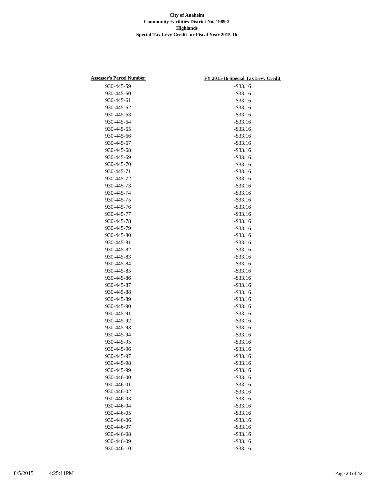| <b>Assessor's Parcel Number</b> | FY 2015-16 Special Tax Levy Credit |
|---------------------------------|------------------------------------|
| 930-445-59                      | $-$ \$33.16                        |
| 930-445-60                      | $-$ \$33.16                        |
| 930-445-61                      | $-$ \$33.16                        |
| 930-445-62                      | $-$ \$33.16                        |
| 930-445-63                      | $-$ \$33.16                        |
| 930-445-64                      | $-$ \$33.16                        |
| 930-445-65                      | $-$ \$33.16                        |
| 930-445-66                      | $-$ \$33.16                        |
| 930-445-67                      | $-$ \$33.16                        |
| 930-445-68                      | $-$ \$33.16                        |
| 930-445-69                      | $-$ \$33.16                        |
| 930-445-70                      | $-$ \$33.16                        |
| 930-445-71                      | $-$ \$33.16                        |
| 930-445-72                      | $-$ \$33.16                        |
| 930-445-73                      | $-$ \$33.16                        |
| 930-445-74                      | $-$ \$33.16                        |
| 930-445-75                      | $-$ \$33.16                        |
| 930-445-76                      | $-$ \$33.16                        |
| 930-445-77                      | $-$ \$33.16                        |
| 930-445-78                      | $-$ \$33.16                        |
| 930-445-79                      | $-$ \$33.16                        |
| 930-445-80                      | $-$ \$33.16                        |
| 930-445-81                      | $-$ \$33.16                        |
| 930-445-82                      | $-$ \$33.16                        |
| 930-445-83                      | $-$ \$33.16                        |
| 930-445-84                      | $-$ \$33.16                        |
| 930-445-85                      | $-$ \$33.16                        |
| 930-445-86                      | $-$ \$33.16                        |
| 930-445-87                      | $-$ \$33.16                        |
| 930-445-88                      | $-$ \$33.16                        |
| 930-445-89                      | $-$ \$33.16                        |
| 930-445-90                      | $-$ \$33.16                        |
| 930-445-91                      | $-$ \$33.16                        |
| 930-445-92                      | $-$ \$33.16                        |
| 930-445-93                      | $-$ \$33.16                        |
| 930-445-94                      | $-$ \$33.16                        |
| 930-445-95                      | $-$ \$33.16                        |
| 930-445-96                      | $-$ \$33.16                        |
| 930-445-97                      | $-$ \$33.16                        |
| 930-445-98                      | $-$ \$33.16                        |
| 930-445-99                      | $-$ \$33.16                        |
| 930-446-00                      | $-$ \$33.16                        |
| 930-446-01                      | $-$ \$33.16                        |
| 930-446-02                      | $-$ \$33.16                        |
| 930-446-03                      | $-$ \$33.16                        |
| 930-446-04                      | $-$ \$33.16                        |
| 930-446-05                      | $-$ \$33.16                        |
| 930-446-06                      | $-$ \$33.16                        |
| 930-446-07                      | $-$ \$33.16                        |
| 930-446-08                      | $-$ \$33.16                        |
| 930-446-09                      | $-$ \$33.16                        |
| 930-446-10                      | $-$ \$33.16                        |
|                                 |                                    |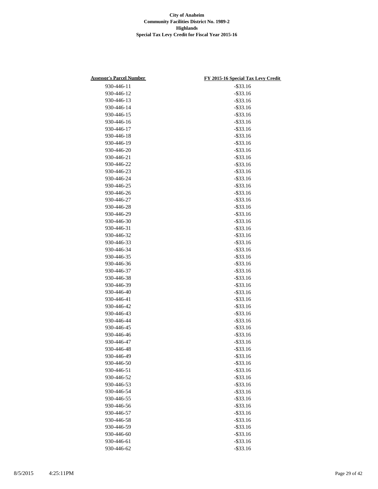| <b>Assessor's Parcel Number</b> | FY 2015-16 Special Tax Levy Credit |
|---------------------------------|------------------------------------|
| 930-446-11                      | $-$ \$33.16                        |
| 930-446-12                      | $-$ \$33.16                        |
| 930-446-13                      | $-$ \$33.16                        |
| 930-446-14                      | $-$ \$33.16                        |
| 930-446-15                      | $-$ \$33.16                        |
| 930-446-16                      | $-$ \$33.16                        |
| 930-446-17                      | $-$ \$33.16                        |
| 930-446-18                      | $-$ \$33.16                        |
| 930-446-19                      | $-$ \$33.16                        |
| 930-446-20                      | $-$ \$33.16                        |
| 930-446-21                      | $-$ \$33.16                        |
| 930-446-22                      | $-$ \$33.16                        |
| 930-446-23                      | $-$ \$33.16                        |
| 930-446-24                      | $-$ \$33.16                        |
| 930-446-25                      | $-$ \$33.16                        |
| 930-446-26                      | $-$ \$33.16                        |
| 930-446-27                      | $-$ \$33.16                        |
| 930-446-28                      | $-$ \$33.16                        |
| 930-446-29                      | $-$ \$33.16                        |
| 930-446-30                      | $-$ \$33.16                        |
| 930-446-31                      | $-$ \$33.16                        |
| 930-446-32                      | $-$ \$33.16                        |
| 930-446-33                      | $-$ \$33.16                        |
| 930-446-34                      | $-$ \$33.16                        |
| 930-446-35                      | $-$ \$33.16                        |
| 930-446-36                      | $-$ \$33.16                        |
| 930-446-37                      | $-$ \$33.16                        |
| 930-446-38                      | $-$ \$33.16                        |
| 930-446-39                      | $-$ \$33.16                        |
| 930-446-40                      | $-$ \$33.16                        |
| 930-446-41                      | $-$ \$33.16                        |
| 930-446-42                      | $-$ \$33.16                        |
| 930-446-43                      | $-$ \$33.16                        |
| 930-446-44                      | $-$ \$33.16                        |
| 930-446-45                      | $-$ \$33.16                        |
| 930-446-46                      | $-$ \$33.16                        |
| 930-446-47                      | $-$ \$33.16                        |
| 930-446-48                      | $-$ \$33.16                        |
| 930-446-49                      | $-$ \$33.16                        |
| 930-446-50                      | $-$ \$33.16                        |
| 930-446-51                      | $-$ \$33.16                        |
| 930-446-52                      | $-$ \$33.16                        |
| 930-446-53                      | $-$ \$33.16                        |
| 930-446-54                      | $-$ \$33.16                        |
| 930-446-55                      | $-$ \$33.16                        |
| 930-446-56                      | $-$ \$33.16                        |
| 930-446-57                      | $-$ \$33.16                        |
| 930-446-58                      | $-$ \$33.16                        |
| 930-446-59                      | $-$ \$33.16                        |
| 930-446-60                      | $-$ \$33.16                        |
| 930-446-61                      | $-$ \$33.16                        |
| 930-446-62                      | $-$ \$33.16                        |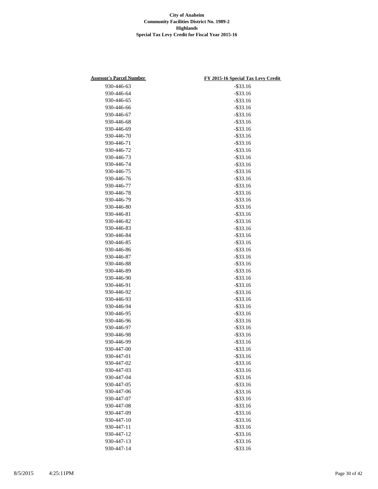| <b>Assessor's Parcel Number</b> | FY 2015-16 Special Tax Levy Credit |
|---------------------------------|------------------------------------|
| 930-446-63                      | $-$ \$33.16                        |
| 930-446-64                      | $-$ \$33.16                        |
| 930-446-65                      | $-$ \$33.16                        |
| 930-446-66                      | $-$ \$33.16                        |
| 930-446-67                      | $-$ \$33.16                        |
| 930-446-68                      | $-$ \$33.16                        |
| 930-446-69                      | $-$ \$33.16                        |
| 930-446-70                      | $-$ \$33.16                        |
| 930-446-71                      | $-$ \$33.16                        |
| 930-446-72                      | $-$ \$33.16                        |
| 930-446-73                      | $-$ \$33.16                        |
| 930-446-74                      | $-$ \$33.16                        |
| 930-446-75                      | $-$ \$33.16                        |
| 930-446-76                      | $-$ \$33.16                        |
| 930-446-77                      | $-$ \$33.16                        |
| 930-446-78                      | $-$ \$33.16                        |
| 930-446-79                      | $-$ \$33.16                        |
| 930-446-80                      | $-$ \$33.16                        |
| 930-446-81                      | $-$ \$33.16                        |
| 930-446-82                      | $-$ \$33.16                        |
| 930-446-83                      | $-$ \$33.16                        |
| 930-446-84                      | $-$ \$33.16                        |
| 930-446-85                      | $-$ \$33.16                        |
| 930-446-86                      | $-$ \$33.16                        |
| 930-446-87                      | $-$ \$33.16                        |
| 930-446-88                      | $-$ \$33.16                        |
| 930-446-89                      | $-$ \$33.16                        |
| 930-446-90                      | $-$ \$33.16                        |
| 930-446-91                      | $-$ \$33.16                        |
| 930-446-92                      | $-$ \$33.16                        |
| 930-446-93                      | $-$ \$33.16                        |
| 930-446-94                      | $-$ \$33.16                        |
| 930-446-95                      | $-$ \$33.16                        |
| 930-446-96                      | $-$ \$33.16                        |
| 930-446-97                      | $-$ \$33.16                        |
| 930-446-98                      | $-$ \$33.16                        |
| 930-446-99                      | $-$ \$33.16                        |
| 930-447-00                      | $-$ \$33.16                        |
| 930-447-01                      | $-$ \$33.16                        |
| 930-447-02                      | $-$ \$33.16                        |
| 930-447-03                      | $-$ \$33.16                        |
| 930-447-04                      | $-$ \$33.16                        |
| 930-447-05                      | $-$ \$33.16                        |
| 930-447-06                      | $-$ \$33.16                        |
| 930-447-07                      | $-$ \$33.16                        |
| 930-447-08                      | $-$ \$33.16                        |
| 930-447-09                      | $-$ \$33.16                        |
| 930-447-10                      | $-$ \$33.16                        |
| 930-447-11                      | $-$ \$33.16                        |
| 930-447-12                      | $-$ \$33.16                        |
| 930-447-13                      | $-$ \$33.16                        |
| 930-447-14                      | $-$ \$33.16                        |
|                                 |                                    |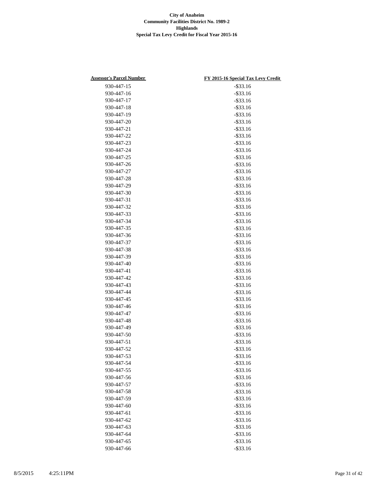| <b>Assessor's Parcel Number</b> | FY 2015-16 Special Tax Levy Credit |
|---------------------------------|------------------------------------|
| 930-447-15                      | $-$ \$33.16                        |
| 930-447-16                      | $-$ \$33.16                        |
| 930-447-17                      | $-$ \$33.16                        |
| 930-447-18                      | $-$ \$33.16                        |
| 930-447-19                      | $-$ \$33.16                        |
| 930-447-20                      | $-$ \$33.16                        |
| 930-447-21                      | $-$ \$33.16                        |
| 930-447-22                      | $-$ \$33.16                        |
| 930-447-23                      | $-$ \$33.16                        |
| 930-447-24                      | $-$ \$33.16                        |
| 930-447-25                      | $-$ \$33.16                        |
| 930-447-26                      | $-$ \$33.16                        |
| 930-447-27                      | $-$ \$33.16                        |
| 930-447-28                      | $-$ \$33.16                        |
| 930-447-29                      | $-$ \$33.16                        |
| 930-447-30                      | $-$ \$33.16                        |
| 930-447-31                      | $-$ \$33.16                        |
| 930-447-32                      | $-$ \$33.16                        |
| 930-447-33                      | $-$ \$33.16                        |
| 930-447-34                      | $-$ \$33.16                        |
| 930-447-35                      | $-$ \$33.16                        |
| 930-447-36                      | $-$ \$33.16                        |
| 930-447-37                      | $-$ \$33.16                        |
| 930-447-38                      | $-$ \$33.16                        |
| 930-447-39                      | $-$ \$33.16                        |
| 930-447-40                      | $-$ \$33.16                        |
| 930-447-41                      | $-$ \$33.16                        |
| 930-447-42                      | $-$ \$33.16                        |
| 930-447-43                      | $-$ \$33.16                        |
| 930-447-44                      | $-$ \$33.16                        |
| 930-447-45                      | $-$ \$33.16                        |
| 930-447-46                      | $-$ \$33.16                        |
| 930-447-47                      | $-$ \$33.16                        |
| 930-447-48                      | $-$ \$33.16                        |
| 930-447-49                      | $-$ \$33.16                        |
| 930-447-50                      | $-$ \$33.16                        |
| 930-447-51                      | $-$ \$33.16                        |
| 930-447-52                      | $-$ \$33.16                        |
| 930-447-53                      | $-$ \$33.16                        |
| 930-447-54                      | $-$ \$33.16                        |
| 930-447-55                      | $-$ \$33.16                        |
| 930-447-56                      | $-$ \$33.16                        |
| 930-447-57                      | $-$ \$33.16                        |
| 930-447-58                      | $-$ \$33.16                        |
| 930-447-59                      | $-$ \$33.16                        |
| 930-447-60                      | $-$ \$33.16                        |
| 930-447-61                      | $-$ \$33.16                        |
| 930-447-62                      | $-$ \$33.16                        |
| 930-447-63                      | $-$ \$33.16                        |
| 930-447-64                      | $-$ \$33.16                        |
| 930-447-65                      | $-$ \$33.16                        |
| 930-447-66                      | $-$ \$33.16                        |
|                                 |                                    |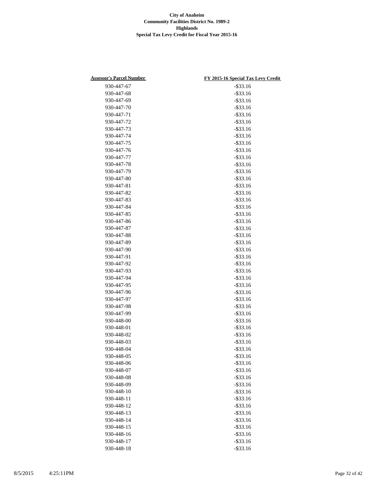| <b>Assessor's Parcel Number</b> | FY 2015-16 Special Tax Levy Credit |
|---------------------------------|------------------------------------|
| 930-447-67                      | $-$ \$33.16                        |
| 930-447-68                      | $-$ \$33.16                        |
| 930-447-69                      | $-$ \$33.16                        |
| 930-447-70                      | $-$ \$33.16                        |
| 930-447-71                      | $-$ \$33.16                        |
| 930-447-72                      | $-$ \$33.16                        |
| 930-447-73                      | $-$ \$33.16                        |
| 930-447-74                      | $-$ \$33.16                        |
| 930-447-75                      | $-$ \$33.16                        |
| 930-447-76                      | $-$ \$33.16                        |
| 930-447-77                      | $-$ \$33.16                        |
| 930-447-78                      | $-$ \$33.16                        |
| 930-447-79                      | $-$ \$33.16                        |
| 930-447-80                      | $-$ \$33.16                        |
| 930-447-81                      | $-$ \$33.16                        |
| 930-447-82                      | $-$ \$33.16                        |
| 930-447-83                      | $-$ \$33.16                        |
| 930-447-84                      | $-$ \$33.16                        |
| 930-447-85                      | $-$ \$33.16                        |
| 930-447-86                      | $-$ \$33.16                        |
| 930-447-87                      | $-$ \$33.16                        |
| 930-447-88                      | $-$ \$33.16                        |
| 930-447-89                      | $-$ \$33.16                        |
| 930-447-90                      | $-$ \$33.16                        |
| 930-447-91                      | $-$ \$33.16                        |
| 930-447-92                      | $-$ \$33.16                        |
| 930-447-93                      | $-$ \$33.16                        |
| 930-447-94                      | $-$ \$33.16                        |
| 930-447-95                      | $-$ \$33.16                        |
| 930-447-96                      | $-$ \$33.16                        |
| 930-447-97                      | $-$ \$33.16                        |
| 930-447-98                      | $-$ \$33.16                        |
| 930-447-99                      | $-$ \$33.16                        |
| 930-448-00                      | $-$ \$33.16                        |
| 930-448-01                      | $-$ \$33.16                        |
| 930-448-02                      | $-$ \$33.16                        |
| 930-448-03                      | $-$ \$33.16                        |
| 930-448-04                      | $-$ \$33.16                        |
| 930-448-05                      | $-$ \$33.16                        |
| 930-448-06                      | $-$ \$33.16                        |
| 930-448-07                      | $-$ \$33.16                        |
| 930-448-08                      | $-$ \$33.16                        |
| 930-448-09                      | $-$ \$33.16                        |
| 930-448-10                      | $-$ \$33.16                        |
| 930-448-11                      | $-$ \$33.16                        |
| 930-448-12                      | $-$ \$33.16                        |
| 930-448-13                      | $-$ \$33.16                        |
| 930-448-14                      | $-$ \$33.16                        |
| 930-448-15                      | $-$ \$33.16                        |
| 930-448-16                      | $-$ \$33.16                        |
| 930-448-17                      | $-$ \$33.16                        |
| 930-448-18                      | $-$ \$33.16                        |
|                                 |                                    |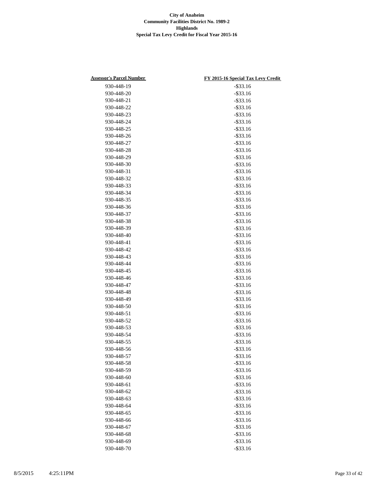| <b>Assessor's Parcel Number</b> | FY 2015-16 Special Tax Levy Credit |
|---------------------------------|------------------------------------|
| 930-448-19                      | $-$ \$33.16                        |
| 930-448-20                      | $-$ \$33.16                        |
| 930-448-21                      | $-$ \$33.16                        |
| 930-448-22                      | $-$ \$33.16                        |
| 930-448-23                      | $-$ \$33.16                        |
| 930-448-24                      | $-$ \$33.16                        |
| 930-448-25                      | $-$ \$33.16                        |
| 930-448-26                      | $-$ \$33.16                        |
| 930-448-27                      | $-$ \$33.16                        |
| 930-448-28                      | $-$ \$33.16                        |
| 930-448-29                      | $-$ \$33.16                        |
| 930-448-30                      | $-$ \$33.16                        |
| 930-448-31                      | $-$ \$33.16                        |
| 930-448-32                      | $-$ \$33.16                        |
| 930-448-33                      | $-$ \$33.16                        |
| 930-448-34                      | $-$ \$33.16                        |
| 930-448-35                      | $-$ \$33.16                        |
| 930-448-36                      | $-$ \$33.16                        |
| 930-448-37                      | $-$ \$33.16                        |
| 930-448-38                      |                                    |
|                                 | $-$ \$33.16                        |
| 930-448-39                      | $-$ \$33.16                        |
| 930-448-40                      | $-$ \$33.16                        |
| 930-448-41                      | $-$ \$33.16                        |
| 930-448-42                      | $-$ \$33.16                        |
| 930-448-43                      | $-$ \$33.16                        |
| 930-448-44                      | $-$ \$33.16                        |
| 930-448-45                      | $-$ \$33.16                        |
| 930-448-46                      | $-$ \$33.16                        |
| 930-448-47                      | $-$ \$33.16                        |
| 930-448-48                      | $-$ \$33.16                        |
| 930-448-49                      | $-$ \$33.16                        |
| 930-448-50                      | $-$ \$33.16                        |
| 930-448-51                      | $-$ \$33.16                        |
| 930-448-52                      | $-$ \$33.16                        |
| 930-448-53                      | $-$ \$33.16                        |
| 930-448-54                      | $-$ \$33.16                        |
| 930-448-55                      | $-$ \$33.16                        |
| 930-448-56                      | $-$ \$33.16                        |
| 930-448-57                      | $-$ \$33.16                        |
| 930-448-58                      | $-$ \$33.16                        |
| 930-448-59                      | $-$ \$33.16                        |
| 930-448-60                      | $-$ \$33.16                        |
| 930-448-61                      | $-$ \$33.16                        |
| 930-448-62                      | $-$ \$33.16                        |
| 930-448-63                      | $-$ \$33.16                        |
| 930-448-64                      | $-$ \$33.16                        |
| 930-448-65                      | $-$ \$33.16                        |
| 930-448-66                      | $-$ \$33.16                        |
| 930-448-67                      | $-$ \$33.16                        |
| 930-448-68                      | $-$ \$33.16                        |
| 930-448-69                      | $-$ \$33.16                        |
| 930-448-70                      | $-$ \$33.16                        |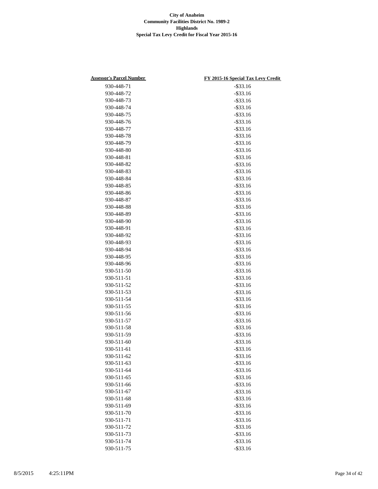| <b>Assessor's Parcel Number</b> | FY 2015-16 Special Tax Levy Credit |
|---------------------------------|------------------------------------|
| 930-448-71                      | $-$ \$33.16                        |
| 930-448-72                      | $-$ \$33.16                        |
| 930-448-73                      | $-$ \$33.16                        |
| 930-448-74                      | $-$ \$33.16                        |
| 930-448-75                      | $-$ \$33.16                        |
| 930-448-76                      | $-$ \$33.16                        |
| 930-448-77                      | $-$ \$33.16                        |
| 930-448-78                      | $-$ \$33.16                        |
| 930-448-79                      | $-$ \$33.16                        |
| 930-448-80                      | $-$ \$33.16                        |
| 930-448-81                      | $-$ \$33.16                        |
| 930-448-82                      | $-$ \$33.16                        |
| 930-448-83                      | $-$ \$33.16                        |
| 930-448-84                      | $-$ \$33.16                        |
| 930-448-85                      | $-$ \$33.16                        |
| 930-448-86                      | $-$ \$33.16                        |
| 930-448-87                      | $-$ \$33.16                        |
| 930-448-88                      | $-$ \$33.16                        |
| 930-448-89                      | $-$ \$33.16                        |
|                                 |                                    |
| 930-448-90                      | $-$ \$33.16                        |
| 930-448-91                      | $-$ \$33.16                        |
| 930-448-92                      | $-$ \$33.16                        |
| 930-448-93                      | $-$ \$33.16                        |
| 930-448-94                      | $-$ \$33.16                        |
| 930-448-95                      | $-$ \$33.16                        |
| 930-448-96                      | $-$ \$33.16                        |
| 930-511-50                      | $-$ \$33.16                        |
| 930-511-51                      | $-$ \$33.16                        |
| 930-511-52                      | $-$ \$33.16                        |
| 930-511-53                      | $-$ \$33.16                        |
| 930-511-54                      | $-$ \$33.16                        |
| 930-511-55                      | $-$ \$33.16                        |
| 930-511-56                      | $-$ \$33.16                        |
| 930-511-57                      | $-$ \$33.16                        |
| 930-511-58                      | $-$ \$33.16                        |
| 930-511-59                      | $-$ \$33.16                        |
| 930-511-60                      | $-$ \$33.16                        |
| 930-511-61                      | $-$ \$33.16                        |
| 930-511-62                      | $-$ \$33.16                        |
| 930-511-63                      | $-$ \$33.16                        |
| 930-511-64                      | $-$ \$33.16                        |
| 930-511-65                      | $-$ \$33.16                        |
| 930-511-66                      | $-$ \$33.16                        |
| 930-511-67                      | $-$ \$33.16                        |
| 930-511-68                      | $-$ \$33.16                        |
| 930-511-69                      | $-$ \$33.16                        |
| 930-511-70                      | $-$ \$33.16                        |
| 930-511-71                      | $-$ \$33.16                        |
| 930-511-72                      | $-$ \$33.16                        |
| 930-511-73                      | $-$ \$33.16                        |
| 930-511-74                      | $-$ \$33.16                        |
| 930-511-75                      | $-$ \$33.16                        |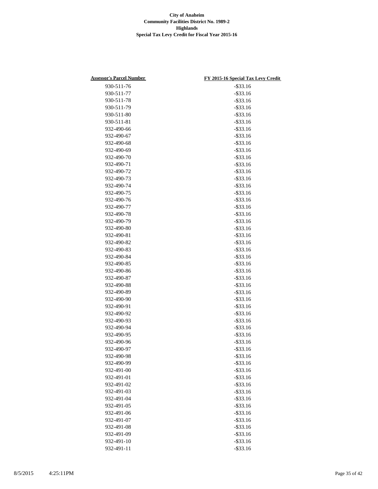| <b>Assessor's Parcel Number</b> | FY 2015-16 Special Tax Levy Credit |
|---------------------------------|------------------------------------|
| 930-511-76                      | $-$ \$33.16                        |
| 930-511-77                      | $-$ \$33.16                        |
| 930-511-78                      | $-$ \$33.16                        |
| 930-511-79                      | $-$ \$33.16                        |
| 930-511-80                      | $-$ \$33.16                        |
| 930-511-81                      | $-$ \$33.16                        |
| 932-490-66                      | $-$ \$33.16                        |
| 932-490-67                      | $-$ \$33.16                        |
| 932-490-68                      | $-$ \$33.16                        |
| 932-490-69                      | $-$ \$33.16                        |
| 932-490-70                      | $-$ \$33.16                        |
| 932-490-71                      | $-$ \$33.16                        |
| 932-490-72                      | $-$ \$33.16                        |
| 932-490-73                      | $-$ \$33.16                        |
| 932-490-74                      | $-$ \$33.16                        |
| 932-490-75                      | $-$ \$33.16                        |
| 932-490-76                      | $-$ \$33.16                        |
| 932-490-77                      | $-$ \$33.16                        |
| 932-490-78                      | $-$ \$33.16                        |
| 932-490-79                      | $-$ \$33.16                        |
| 932-490-80                      | $-$ \$33.16                        |
| 932-490-81                      | $-$ \$33.16                        |
| 932-490-82                      | $-$ \$33.16                        |
| 932-490-83                      | $-$ \$33.16                        |
| 932-490-84                      | $-$ \$33.16                        |
| 932-490-85                      | $-$ \$33.16                        |
| 932-490-86                      | $-$ \$33.16                        |
| 932-490-87                      | $-$ \$33.16                        |
| 932-490-88                      | $-$ \$33.16                        |
| 932-490-89                      | $-$ \$33.16                        |
| 932-490-90                      | $-$ \$33.16                        |
| 932-490-91                      | $-$ \$33.16                        |
| 932-490-92                      | $-$ \$33.16                        |
| 932-490-93                      | $-$ \$33.16                        |
| 932-490-94                      | $-$ \$33.16                        |
| 932-490-95                      | $-$ \$33.16                        |
| 932-490-96                      | $-$ \$33.16                        |
| 932-490-97                      | $-$ \$33.16                        |
| 932-490-98                      | $-$ \$33.16                        |
| 932-490-99                      | $-$ \$33.16                        |
| 932-491-00                      | $-$ \$33.16                        |
| 932-491-01                      | $-$ \$33.16                        |
| 932-491-02                      | $-$ \$33.16                        |
| 932-491-03                      | $-$ \$33.16                        |
| 932-491-04                      | $-$ \$33.16                        |
| 932-491-05                      | $-$ \$33.16                        |
| 932-491-06                      | $-$ \$33.16                        |
| 932-491-07                      | $-$ \$33.16                        |
| 932-491-08                      | $-$ \$33.16                        |
| 932-491-09                      | $-$ \$33.16                        |
| 932-491-10                      | $-$ \$33.16                        |
| 932-491-11                      | $-$ \$33.16                        |
|                                 |                                    |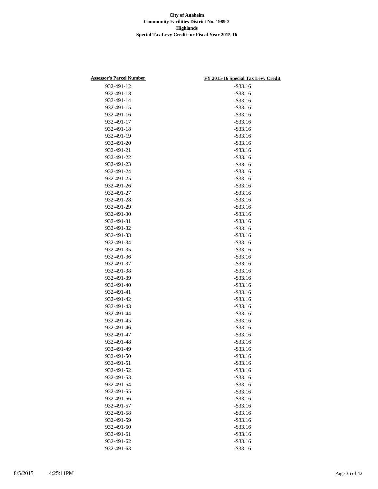| <b>Assessor's Parcel Number</b> | FY 2015-16 Special Tax Levy Credit |
|---------------------------------|------------------------------------|
| 932-491-12                      | $-$ \$33.16                        |
| 932-491-13                      | $-$ \$33.16                        |
| 932-491-14                      | $-$ \$33.16                        |
| 932-491-15                      | $-$ \$33.16                        |
| 932-491-16                      | $-$ \$33.16                        |
| 932-491-17                      | $-$ \$33.16                        |
| 932-491-18                      | $-$ \$33.16                        |
| 932-491-19                      | $-$ \$33.16                        |
| 932-491-20                      | $-$ \$33.16                        |
| 932-491-21                      | $-$ \$33.16                        |
| 932-491-22                      | $-$ \$33.16                        |
| 932-491-23                      | $-$ \$33.16                        |
| 932-491-24                      | $-$ \$33.16                        |
| 932-491-25                      | $-$ \$33.16                        |
| 932-491-26                      | $-$ \$33.16                        |
| 932-491-27                      | $-$ \$33.16                        |
| 932-491-28                      | $-$ \$33.16                        |
| 932-491-29                      | $-$ \$33.16                        |
| 932-491-30                      | $-$ \$33.16                        |
| 932-491-31                      | $-$ \$33.16                        |
| 932-491-32                      | $-$ \$33.16                        |
| 932-491-33                      | $-$ \$33.16                        |
| 932-491-34                      | $-$ \$33.16                        |
| 932-491-35                      | $-$ \$33.16                        |
| 932-491-36                      | $-$ \$33.16                        |
| 932-491-37                      | $-$ \$33.16                        |
| 932-491-38                      | $-$ \$33.16                        |
| 932-491-39                      | $-$ \$33.16                        |
| 932-491-40                      | $-$ \$33.16                        |
| 932-491-41                      | $-$ \$33.16                        |
| 932-491-42                      | $-$ \$33.16                        |
| 932-491-43                      | $-$ \$33.16                        |
| 932-491-44                      | $-$ \$33.16                        |
| 932-491-45                      | $-$ \$33.16                        |
| 932-491-46                      | $-$ \$33.16                        |
| 932-491-47                      | $-$ \$33.16                        |
| 932-491-48                      | $-$ \$33.16                        |
| 932-491-49                      | $-$ \$33.16                        |
| 932-491-50                      | $-$ \$33.16                        |
| 932-491-51                      | $-$ \$33.16                        |
| 932-491-52                      | $-$ \$33.16                        |
| 932-491-53                      | $-$ \$33.16                        |
| 932-491-54                      | $-$ \$33.16                        |
| 932-491-55                      | $-$ \$33.16                        |
| 932-491-56                      | $-$ \$33.16                        |
| 932-491-57                      | $-$ \$33.16                        |
| 932-491-58                      | $-$ \$33.16                        |
| 932-491-59                      | $-$ \$33.16                        |
| 932-491-60                      | $-$ \$33.16                        |
| 932-491-61                      | $-$ \$33.16                        |
| 932-491-62                      | $-$ \$33.16                        |
| 932-491-63                      | $-$ \$33.16                        |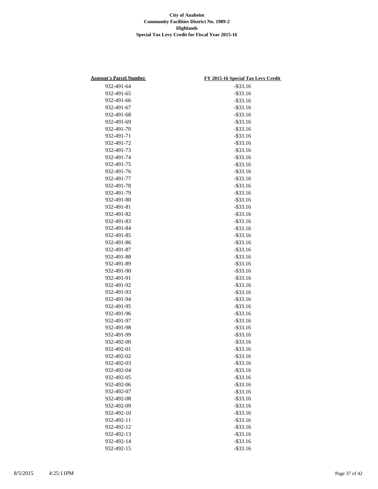| <b>Assessor's Parcel Number</b> | FY 2015-16 Special Tax Levy Credit |
|---------------------------------|------------------------------------|
| 932-491-64                      | $-$ \$33.16                        |
| 932-491-65                      | $-$ \$33.16                        |
| 932-491-66                      | $-$ \$33.16                        |
| 932-491-67                      | $-$ \$33.16                        |
| 932-491-68                      | $-$ \$33.16                        |
| 932-491-69                      | $-$ \$33.16                        |
| 932-491-70                      | $-$ \$33.16                        |
| 932-491-71                      | $-$ \$33.16                        |
| 932-491-72                      | $-$ \$33.16                        |
| 932-491-73                      | $-$ \$33.16                        |
| 932-491-74                      | $-$ \$33.16                        |
| 932-491-75                      | $-$ \$33.16                        |
| 932-491-76                      | $-$ \$33.16                        |
| 932-491-77                      | $-$ \$33.16                        |
| 932-491-78                      | $-$ \$33.16                        |
| 932-491-79                      | $-$ \$33.16                        |
| 932-491-80                      | $-$ \$33.16                        |
| 932-491-81                      | $-$ \$33.16                        |
|                                 | $-$ \$33.16                        |
| 932-491-82                      |                                    |
| 932-491-83                      | $-$ \$33.16                        |
| 932-491-84                      | $-$ \$33.16                        |
| 932-491-85                      | $-$ \$33.16                        |
| 932-491-86                      | $-$ \$33.16                        |
| 932-491-87                      | $-$ \$33.16                        |
| 932-491-88                      | $-$ \$33.16                        |
| 932-491-89                      | $-$ \$33.16                        |
| 932-491-90                      | $-$ \$33.16                        |
| 932-491-91                      | $-$ \$33.16                        |
| 932-491-92                      | $-$ \$33.16                        |
| 932-491-93                      | $-$ \$33.16                        |
| 932-491-94                      | $-$ \$33.16                        |
| 932-491-95                      | $-$ \$33.16                        |
| 932-491-96                      | $-$ \$33.16                        |
| 932-491-97                      | $-$ \$33.16                        |
| 932-491-98                      | $-$ \$33.16                        |
| 932-491-99                      | $-$ \$33.16                        |
| 932-492-00                      | $-$ \$33.16                        |
| 932-492-01                      | $-$ \$33.16                        |
| 932-492-02                      | $-$ \$33.16                        |
| 932-492-03                      | $-$ \$33.16                        |
| 932-492-04                      | $-$ \$33.16                        |
| 932-492-05                      | $-$ \$33.16                        |
| 932-492-06                      | $-$ \$33.16                        |
| 932-492-07                      | $-$ \$33.16                        |
| 932-492-08                      | $-$ \$33.16                        |
| 932-492-09                      | $-$ \$33.16                        |
| 932-492-10                      | $-$ \$33.16                        |
| 932-492-11                      | $-$ \$33.16                        |
| 932-492-12                      | $-$ \$33.16                        |
| 932-492-13                      | $-$ \$33.16                        |
| 932-492-14                      | $-$ \$33.16                        |
| 932-492-15                      | $-$ \$33.16                        |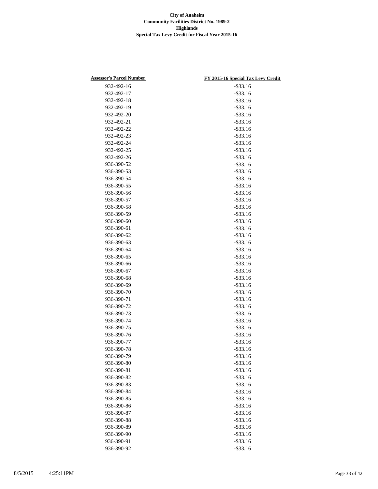| <b>Assessor's Parcel Number</b> | FY 2015-16 Special Tax Levy Credit |
|---------------------------------|------------------------------------|
| 932-492-16                      | $-$ \$33.16                        |
| 932-492-17                      | $-$ \$33.16                        |
| 932-492-18                      | $-$ \$33.16                        |
| 932-492-19                      | $-$ \$33.16                        |
| 932-492-20                      | $-$ \$33.16                        |
| 932-492-21                      | $-$ \$33.16                        |
| 932-492-22                      | $-$ \$33.16                        |
| 932-492-23                      | $-$ \$33.16                        |
| 932-492-24                      | $-$ \$33.16                        |
| 932-492-25                      | $-$ \$33.16                        |
| 932-492-26                      | $-$ \$33.16                        |
| 936-390-52                      | $-$ \$33.16                        |
| 936-390-53                      | $-$ \$33.16                        |
| 936-390-54                      | $-$ \$33.16                        |
| 936-390-55                      | $-$ \$33.16                        |
| 936-390-56                      | $-$ \$33.16                        |
| 936-390-57                      | $-$ \$33.16                        |
| 936-390-58                      | $-$ \$33.16                        |
| 936-390-59                      | $-$ \$33.16                        |
| 936-390-60                      | $-$ \$33.16                        |
| 936-390-61                      | $-$ \$33.16                        |
| 936-390-62                      | $-$ \$33.16                        |
| 936-390-63                      | $-$ \$33.16                        |
| 936-390-64                      | $-$ \$33.16                        |
| 936-390-65                      | $-$ \$33.16                        |
| 936-390-66                      | $-$ \$33.16                        |
| 936-390-67                      | $-$ \$33.16                        |
| 936-390-68                      | $-$ \$33.16                        |
| 936-390-69                      | $-$ \$33.16                        |
| 936-390-70                      | $-$ \$33.16                        |
| 936-390-71                      | $-$ \$33.16                        |
| 936-390-72                      | $-$ \$33.16                        |
| 936-390-73                      | $-$ \$33.16                        |
| 936-390-74                      | $-$ \$33.16                        |
| 936-390-75                      | $-$ \$33.16                        |
| 936-390-76                      | $-$ \$33.16                        |
| 936-390-77                      | $-$ \$33.16                        |
| 936-390-78                      | $-$ \$33.16                        |
| 936-390-79                      | $-$ \$33.16                        |
| 936-390-80                      | $-$ \$33.16                        |
| 936-390-81                      | $-$ \$33.16                        |
| 936-390-82                      | $-$ \$33.16                        |
| 936-390-83                      | $-$ \$33.16                        |
| 936-390-84                      | $-$ \$33.16                        |
| 936-390-85                      | $-$ \$33.16                        |
| 936-390-86                      | $-$ \$33.16                        |
| 936-390-87                      | $-$ \$33.16                        |
| 936-390-88                      | $-$ \$33.16                        |
| 936-390-89                      | $-$ \$33.16                        |
| 936-390-90                      | $-$ \$33.16                        |
|                                 |                                    |
| 936-390-91                      | $-$ \$33.16                        |
| 936-390-92                      | $-$ \$33.16                        |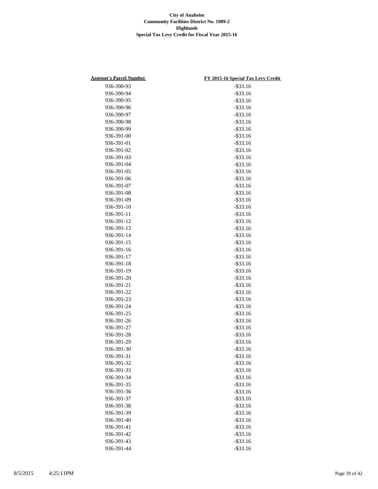| <b>Assessor's Parcel Number</b> | FY 2015-16 Special Tax Levy Credit |
|---------------------------------|------------------------------------|
| 936-390-93                      | $-$ \$33.16                        |
| 936-390-94                      | $-$ \$33.16                        |
| 936-390-95                      | $-$ \$33.16                        |
| 936-390-96                      | $-$ \$33.16                        |
| 936-390-97                      | $-$ \$33.16                        |
| 936-390-98                      | $-$ \$33.16                        |
| 936-390-99                      | $-$ \$33.16                        |
| 936-391-00                      | $-$ \$33.16                        |
| 936-391-01                      | $-$ \$33.16                        |
| 936-391-02                      | $-$ \$33.16                        |
| 936-391-03                      | $-$ \$33.16                        |
| 936-391-04                      | $-$ \$33.16                        |
| 936-391-05                      | $-$ \$33.16                        |
| 936-391-06                      | $-$ \$33.16                        |
| 936-391-07                      | $-$ \$33.16                        |
| 936-391-08                      | $-$ \$33.16                        |
| 936-391-09                      | $-$ \$33.16                        |
| 936-391-10                      | $-$ \$33.16                        |
| 936-391-11                      | $-$ \$33.16                        |
| 936-391-12                      | $-$ \$33.16                        |
| 936-391-13                      | $-$ \$33.16                        |
| 936-391-14                      | $-$ \$33.16                        |
| 936-391-15                      | $-$ \$33.16                        |
| 936-391-16                      | $-$ \$33.16                        |
| 936-391-17                      | $-$ \$33.16                        |
| 936-391-18                      | $-$ \$33.16                        |
| 936-391-19                      | $-$ \$33.16                        |
| 936-391-20                      | $-$ \$33.16                        |
| 936-391-21                      | $-$ \$33.16                        |
| 936-391-22                      | $-$ \$33.16                        |
| 936-391-23                      | $-$ \$33.16                        |
| 936-391-24                      | $-$ \$33.16                        |
| 936-391-25                      | $-$ \$33.16                        |
| 936-391-26                      | $-$ \$33.16                        |
| 936-391-27                      | $-$ \$33.16                        |
| 936-391-28                      | $-$ \$33.16                        |
| 936-391-29                      | $-$ \$33.16                        |
| 936-391-30                      | $-$ \$33.16                        |
| 936-391-31                      | $-$ \$33.16                        |
| 936-391-32                      | $-$ \$33.16                        |
| 936-391-33                      | $-$ \$33.16                        |
| 936-391-34                      | $-$ \$33.16                        |
| 936-391-35                      | $-$ \$33.16                        |
| 936-391-36                      | $-$ \$33.16                        |
| 936-391-37                      | $-$ \$33.16                        |
| 936-391-38                      | $-$ \$33.16                        |
| 936-391-39                      | $-$ \$33.16                        |
| 936-391-40                      | $-$ \$33.16                        |
| 936-391-41                      | $-$ \$33.16                        |
| 936-391-42                      | $-$ \$33.16                        |
| 936-391-43                      | $-$ \$33.16                        |
| 936-391-44                      | $-$ \$33.16                        |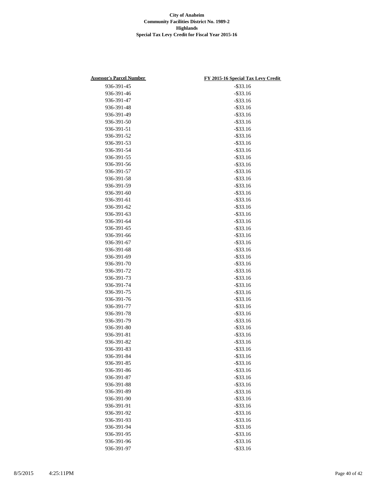| <b>Assessor's Parcel Number</b> | FY 2015-16 Special Tax Levy Credit |
|---------------------------------|------------------------------------|
| 936-391-45                      | $-$ \$33.16                        |
| 936-391-46                      | $-$ \$33.16                        |
| 936-391-47                      | $-$ \$33.16                        |
| 936-391-48                      | $-$ \$33.16                        |
| 936-391-49                      | $-$ \$33.16                        |
| 936-391-50                      | $-$ \$33.16                        |
| 936-391-51                      | $-$ \$33.16                        |
| 936-391-52                      | $-$ \$33.16                        |
| 936-391-53                      | $-$ \$33.16                        |
| 936-391-54                      | $-$ \$33.16                        |
| 936-391-55                      | $-$ \$33.16                        |
| 936-391-56                      | $-$ \$33.16                        |
| 936-391-57                      | $-$ \$33.16                        |
| 936-391-58                      | $-$ \$33.16                        |
| 936-391-59                      | $-$ \$33.16                        |
| 936-391-60                      | $-$ \$33.16                        |
| 936-391-61                      | $-$ \$33.16                        |
| 936-391-62                      | $-$ \$33.16                        |
| 936-391-63                      | $-$ \$33.16                        |
| 936-391-64                      | $-$ \$33.16                        |
|                                 |                                    |
| 936-391-65                      | $-$ \$33.16                        |
| 936-391-66                      | $-$ \$33.16                        |
| 936-391-67                      | $-$ \$33.16                        |
| 936-391-68                      | $-$ \$33.16                        |
| 936-391-69                      | $-$ \$33.16                        |
| 936-391-70                      | $-$ \$33.16                        |
| 936-391-72                      | $-$ \$33.16                        |
| 936-391-73                      | $-$ \$33.16                        |
| 936-391-74                      | $-$ \$33.16                        |
| 936-391-75                      | $-$ \$33.16                        |
| 936-391-76                      | $-$ \$33.16                        |
| 936-391-77                      | $-$ \$33.16                        |
| 936-391-78                      | $-$ \$33.16                        |
| 936-391-79                      | $-$ \$33.16                        |
| 936-391-80                      | $-$ \$33.16                        |
| 936-391-81                      | $-$ \$33.16                        |
| 936-391-82                      | $-$ \$33.16                        |
| 936-391-83                      | $-$ \$33.16                        |
| 936-391-84                      | $-$ \$33.16                        |
| 936-391-85                      | $-$ \$33.16                        |
| 936-391-86                      | $-$ \$33.16                        |
| 936-391-87                      | $-$ \$33.16                        |
| 936-391-88                      | $-$ \$33.16                        |
| 936-391-89                      | $-$ \$33.16                        |
| 936-391-90                      | $-$ \$33.16                        |
| 936-391-91                      | $-$ \$33.16                        |
| 936-391-92                      | $-$ \$33.16                        |
| 936-391-93                      | $-$ \$33.16                        |
| 936-391-94                      | $-$ \$33.16                        |
| 936-391-95                      | $-$ \$33.16                        |
| 936-391-96                      | $-$ \$33.16                        |
| 936-391-97                      | $-$ \$33.16                        |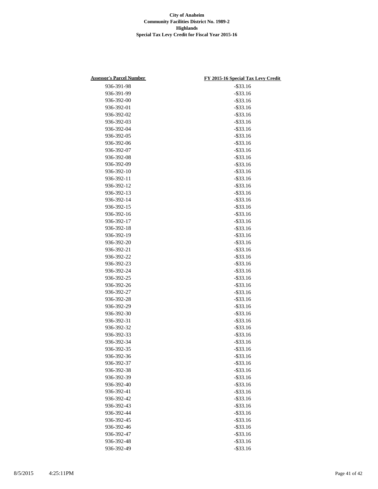| <b>Assessor's Parcel Number</b> | FY 2015-16 Special Tax Levy Credit |
|---------------------------------|------------------------------------|
| 936-391-98                      | $-$ \$33.16                        |
| 936-391-99                      | $-$ \$33.16                        |
| 936-392-00                      | $-$ \$33.16                        |
| 936-392-01                      | $-$ \$33.16                        |
| 936-392-02                      | $-$ \$33.16                        |
| 936-392-03                      | $-$ \$33.16                        |
| 936-392-04                      | $-$ \$33.16                        |
| 936-392-05                      | $-$ \$33.16                        |
| 936-392-06                      | $-$ \$33.16                        |
| 936-392-07                      | $-$ \$33.16                        |
| 936-392-08                      | $-$ \$33.16                        |
| 936-392-09                      | $-$ \$33.16                        |
| 936-392-10                      | $-$ \$33.16                        |
| 936-392-11                      | $-$ \$33.16                        |
| 936-392-12                      | $-$ \$33.16                        |
| 936-392-13                      | $-$ \$33.16                        |
| 936-392-14                      | $-$ \$33.16                        |
| 936-392-15                      | $-$ \$33.16                        |
| 936-392-16                      | $-$ \$33.16                        |
| 936-392-17                      | $-$ \$33.16                        |
| 936-392-18                      | $-$ \$33.16                        |
| 936-392-19                      | $-$ \$33.16                        |
| 936-392-20                      | $-$ \$33.16                        |
| 936-392-21                      | $-$ \$33.16                        |
| 936-392-22                      | $-$ \$33.16                        |
| 936-392-23                      | $-$ \$33.16                        |
| 936-392-24                      | $-$ \$33.16                        |
| 936-392-25                      | $-$ \$33.16                        |
| 936-392-26                      | $-$ \$33.16                        |
| 936-392-27                      | $-$ \$33.16                        |
| 936-392-28                      | $-$ \$33.16                        |
| 936-392-29                      | $-$ \$33.16                        |
| 936-392-30                      | $-$ \$33.16                        |
| 936-392-31                      | $-$ \$33.16                        |
| 936-392-32                      | $-$ \$33.16                        |
| 936-392-33                      | $-$ \$33.16                        |
| 936-392-34                      | $-$ \$33.16                        |
| 936-392-35                      | $-$ \$33.16                        |
| 936-392-36                      | $-$ \$33.16                        |
| 936-392-37                      | $-$ \$33.16                        |
| 936-392-38                      | $-$ \$33.16                        |
| 936-392-39                      | $-$ \$33.16                        |
| 936-392-40                      | $-$ \$33.16                        |
| 936-392-41                      | $-$ \$33.16                        |
| 936-392-42                      | $-$ \$33.16                        |
| 936-392-43                      | $-$ \$33.16                        |
| 936-392-44                      | $-$ \$33.16                        |
| 936-392-45                      | $-$ \$33.16                        |
| 936-392-46                      | $-$ \$33.16                        |
| 936-392-47                      | $-$ \$33.16                        |
| 936-392-48                      | $-$ \$33.16                        |
| 936-392-49                      | $-$ \$33.16                        |